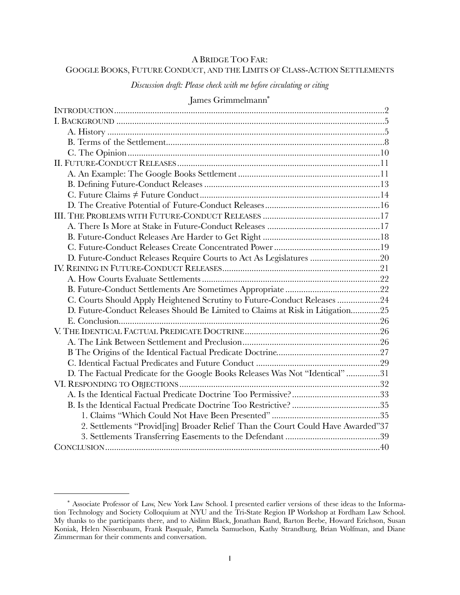## A BRIDGE TOO FAR:

# GOOGLE BOOKS, FUTURE CONDUCT, AND THE LIMITS OF CLASS-ACTION SETTLEMENTS

*Discussion draft: Please check with me before circulating or citing*

# James Grimmelmann[\\*](#page-0-0)

| D. Future-Conduct Releases Require Courts to Act As Legislatures 20             |  |
|---------------------------------------------------------------------------------|--|
|                                                                                 |  |
|                                                                                 |  |
|                                                                                 |  |
| C. Courts Should Apply Heightened Scrutiny to Future-Conduct Releases 24        |  |
| D. Future-Conduct Releases Should Be Limited to Claims at Risk in Litigation25  |  |
|                                                                                 |  |
|                                                                                 |  |
|                                                                                 |  |
|                                                                                 |  |
|                                                                                 |  |
| D. The Factual Predicate for the Google Books Releases Was Not "Identical" 31   |  |
|                                                                                 |  |
|                                                                                 |  |
|                                                                                 |  |
|                                                                                 |  |
| 2. Settlements "Provid[ing] Broader Relief Than the Court Could Have Awarded"37 |  |
|                                                                                 |  |
|                                                                                 |  |

<span id="page-0-0"></span><sup>\*</sup> Associate Professor of Law, New York Law School. I presented earlier versions of these ideas to the Information Technology and Society Colloquium at NYU and the Tri-State Region IP Workshop at Fordham Law School. My thanks to the participants there, and to Aislinn Black, Jonathan Band, Barton Beebe, Howard Erichson, Susan Koniak, Helen Nissenbaum, Frank Pasquale, Pamela Samuelson, Kathy Strandburg, Brian Wolfman, and Diane Zimmerman for their comments and conversation.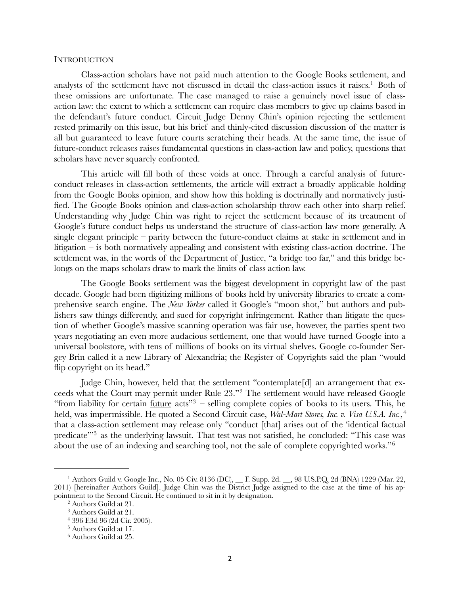### <span id="page-1-0"></span>**INTRODUCTION**

Class-action scholars have not paid much attention to the Google Books settlement, and analysts of the settlement have not discussed in detail the class-action issues it raises.<sup>[1](#page-1-1)</sup> Both of these omissions are unfortunate. The case managed to raise a genuinely novel issue of classaction law: the extent to which a settlement can require class members to give up claims based in the defendant's future conduct. Circuit Judge Denny Chin's opinion rejecting the settlement rested primarily on this issue, but his brief and thinly-cited discussion discussion of the matter is all but guaranteed to leave future courts scratching their heads. At the same time, the issue of future-conduct releases raises fundamental questions in class-action law and policy, questions that scholars have never squarely confronted.

This article will fill both of these voids at once. Through a careful analysis of futureconduct releases in class-action settlements, the article will extract a broadly applicable holding from the Google Books opinion, and show how this holding is doctrinally and normatively justified. The Google Books opinion and class-action scholarship throw each other into sharp relief. Understanding why Judge Chin was right to reject the settlement because of its treatment of Google's future conduct helps us understand the structure of class-action law more generally. A single elegant principle – parity between the future-conduct claims at stake in settlement and in litigation – is both normatively appealing and consistent with existing class-action doctrine. The settlement was, in the words of the Department of Justice, "a bridge too far," and this bridge belongs on the maps scholars draw to mark the limits of class action law.

The Google Books settlement was the biggest development in copyright law of the past decade. Google had been digitizing millions of books held by university libraries to create a comprehensive search engine. The *New Yorker* called it Google's "moon shot," but authors and publishers saw things differently, and sued for copyright infringement. Rather than litigate the question of whether Google's massive scanning operation was fair use, however, the parties spent two years negotiating an even more audacious settlement, one that would have turned Google into a universal bookstore, with tens of millions of books on its virtual shelves. Google co-founder Sergey Brin called it a new Library of Alexandria; the Register of Copyrights said the plan "would flip copyright on its head."

Judge Chin, however, held that the settlement "contemplate[d] an arrangement that exceeds what the Court may permit under Rule 23."[2](#page-1-2) The settlement would have released Google "from liability for certain future  $\arcsin 3$  $\arcsin 3$  – selling complete copies of books to its users. This, he held, was impermissible. He quoted a Second Circuit case, *Wal-Mart Stores, Inc. v. Visa U.S.A. Inc.*, [4](#page-1-4) that a class-action settlement may release only "conduct [that] arises out of the 'identical factual predicate<sup>3[5](#page-1-5)</sup> as the underlying lawsuit. That test was not satisfied, he concluded: "This case was about the use of an indexing and searching tool, not the sale of complete copyrighted works."[6](#page-1-6)

<span id="page-1-1"></span><sup>&</sup>lt;sup>1</sup> Authors Guild v. Google Inc., No. 05 Civ. 8136 (DC), \_\_ F. Supp. 2d. \_\_, 98 U.S.P.Q. 2d (BNA) 1229 (Mar. 22, 2011) [hereinafter Authors Guild]. Judge Chin was the District Judge assigned to the case at the time of his appointment to the Second Circuit. He continued to sit in it by designation.

<span id="page-1-2"></span><sup>2</sup> Authors Guild at 21.

<span id="page-1-3"></span><sup>3</sup> Authors Guild at 21.

<span id="page-1-4"></span><sup>4 396</sup> F.3d 96 (2d Cir. 2005).

<span id="page-1-5"></span><sup>5</sup> Authors Guild at 17.

<span id="page-1-6"></span><sup>6</sup> Authors Guild at 25.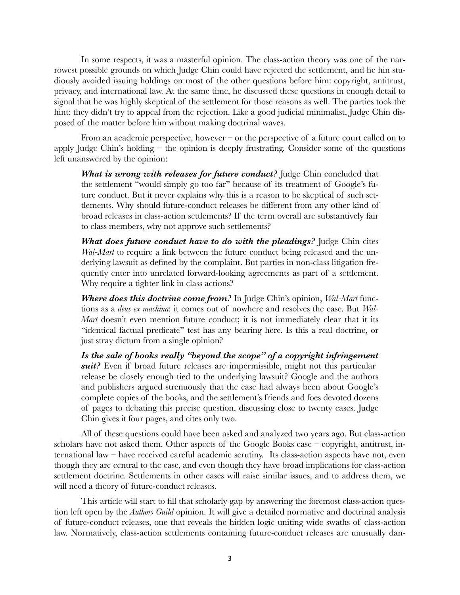In some respects, it was a masterful opinion. The class-action theory was one of the narrowest possible grounds on which Judge Chin could have rejected the settlement, and he hin studiously avoided issuing holdings on most of the other questions before him: copyright, antitrust, privacy, and international law. At the same time, he discussed these questions in enough detail to signal that he was highly skeptical of the settlement for those reasons as well. The parties took the hint; they didn't try to appeal from the rejection. Like a good judicial minimalist, Judge Chin disposed of the matter before him without making doctrinal waves.

From an academic perspective, however – or the perspective of a future court called on to apply Judge Chin's holding – the opinion is deeply frustrating. Consider some of the questions left unanswered by the opinion:

*What is wrong with releases for future conduct?* Judge Chin concluded that the settlement "would simply go too far" because of its treatment of Google's future conduct. But it never explains why this is a reason to be skeptical of such settlements. Why should future-conduct releases be different from any other kind of broad releases in class-action settlements? If the term overall are substantively fair to class members, why not approve such settlements?

*What does future conduct have to do with the pleadings?* Judge Chin cites *Wal-Mart* to require a link between the future conduct being released and the underlying lawsuit as defined by the complaint. But parties in non-class litigation frequently enter into unrelated forward-looking agreements as part of a settlement. Why require a tighter link in class actions?

*Where does this doctrine come from?* In Judge Chin's opinion, *Wal-Mart* functions as a *deus ex machina*: it comes out of nowhere and resolves the case. But *Wal-Mart* doesn't even mention future conduct; it is not immediately clear that it its "identical factual predicate" test has any bearing here. Is this a real doctrine, or just stray dictum from a single opinion?

*Is the sale of books really "beyond the scope" of a copyright infringement suit?* Even if broad future releases are impermissible, might not this particular release be closely enough tied to the underlying lawsuit? Google and the authors and publishers argued strenuously that the case had always been about Google's complete copies of the books, and the settlement's friends and foes devoted dozens of pages to debating this precise question, discussing close to twenty cases. Judge Chin gives it four pages, and cites only two.

All of these questions could have been asked and analyzed two years ago. But class-action scholars have not asked them. Other aspects of the Google Books case – copyright, antitrust, international law – have received careful academic scrutiny. Its class-action aspects have not, even though they are central to the case, and even though they have broad implications for class-action settlement doctrine. Settlements in other cases will raise similar issues, and to address them, we will need a theory of future-conduct releases.

This article will start to fill that scholarly gap by answering the foremost class-action question left open by the *Authors Guild* opinion. It will give a detailed normative and doctrinal analysis of future-conduct releases, one that reveals the hidden logic uniting wide swaths of class-action law. Normatively, class-action settlements containing future-conduct releases are unusually dan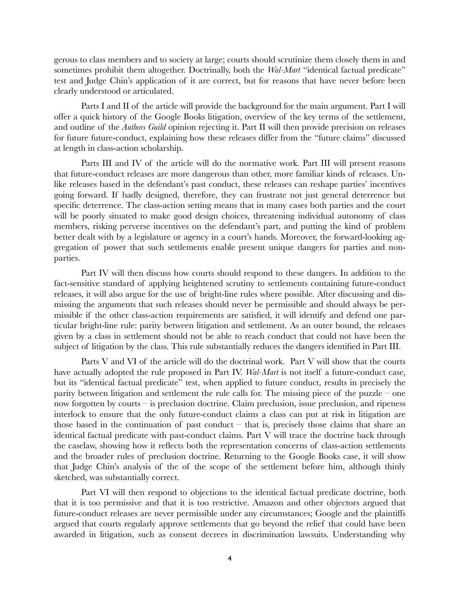gerous to class members and to society at large; courts should scrutinize them closely them in and sometimes prohibit them altogether. Doctrinally, both the *Wal-Mart* "identical factual predicate" test and Judge Chin's application of it are correct, but for reasons that have never before been clearly understood or articulated.

Parts I and II of the article will provide the background for the main argument. Part I will offer a quick history of the Google Books litigation, overview of the key terms of the settlement, and outline of the *Authors Guild* opinion rejecting it. Part II will then provide precision on releases for future future-conduct, explaining how these releases differ from the "future claims" discussed at length in class-action scholarship.

Parts III and IV of the article will do the normative work. Part III will present reasons that future-conduct releases are more dangerous than other, more familiar kinds of releases. Unlike releases based in the defendant's past conduct, these releases can reshape parties' incentives going forward. If badly designed, therefore, they can frustrate not just general deterrence but specific deterrence. The class-action setting means that in many cases both parties and the court will be poorly situated to make good design choices, threatening individual autonomy of class members, risking perverse incentives on the defendant's part, and putting the kind of problem better dealt with by a legislature or agency in a court's hands. Moreover, the forward-looking aggregation of power that such settlements enable present unique dangers for parties and nonparties.

Part IV will then discuss how courts should respond to these dangers. In addition to the fact-sensitive standard of applying heightened scrutiny to settlements containing future-conduct releases, it will also argue for the use of bright-line rules where possible. After discussing and dismissing the arguments that such releases should never be permissible and should always be permissible if the other class-action requirements are satisfied, it will identify and defend one particular bright-line rule: parity between litigation and settlement. As an outer bound, the releases given by a class in settlement should not be able to reach conduct that could not have been the subject of litigation by the class. This rule substantially reduces the dangers identified in Part III.

Parts V and VI of the article will do the doctrinal work. Part V will show that the courts have actually adopted the rule proposed in Part IV. *Wal-Mart* is not itself a future-conduct case, but its "identical factual predicate" test, when applied to future conduct, results in precisely the parity between litigation and settlement the rule calls for. The missing piece of the puzzle – one now forgotten by courts – is preclusion doctrine. Claim preclusion, issue preclusion, and ripeness interlock to ensure that the only future-conduct claims a class can put at risk in litigation are those based in the continuation of past conduct  $-$  that is, precisely those claims that share an identical factual predicate with past-conduct claims. Part V will trace the doctrine back through the caselaw, showing how it reflects both the representation concerns of class-action settlements and the broader rules of preclusion doctrine. Returning to the Google Books case, it will show that Judge Chin's analysis of the of the scope of the settlement before him, although thinly sketched, was substantially correct.

Part VI will then respond to objections to the identical factual predicate doctrine, both that it is too permissive and that it is too restrictive. Amazon and other objectors argued that future-conduct releases are never permissible under any circumstances; Google and the plaintiffs argued that courts regularly approve settlements that go beyond the relief that could have been awarded in litigation, such as consent decrees in discrimination lawsuits. Understanding why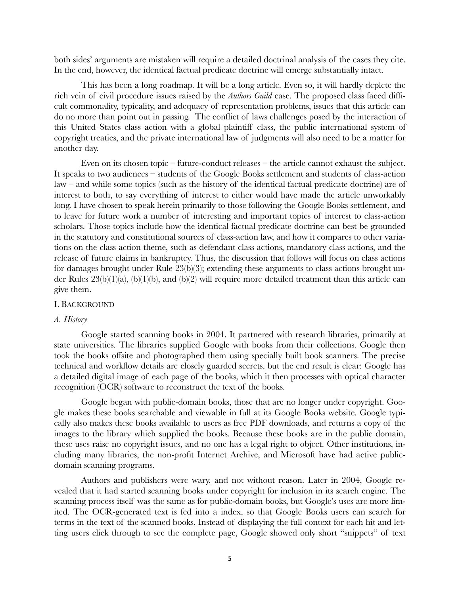both sides' arguments are mistaken will require a detailed doctrinal analysis of the cases they cite. In the end, however, the identical factual predicate doctrine will emerge substantially intact.

This has been a long roadmap. It will be a long article. Even so, it will hardly deplete the rich vein of civil procedure issues raised by the *Authors Guild* case. The proposed class faced difficult commonality, typicality, and adequacy of representation problems, issues that this article can do no more than point out in passing. The conflict of laws challenges posed by the interaction of this United States class action with a global plaintiff class, the public international system of copyright treaties, and the private international law of judgments will also need to be a matter for another day.

Even on its chosen topic – future-conduct releases – the article cannot exhaust the subject. It speaks to two audiences – students of the Google Books settlement and students of class-action law – and while some topics (such as the history of the identical factual predicate doctrine) are of interest to both, to say everything of interest to either would have made the article unworkably long. I have chosen to speak herein primarily to those following the Google Books settlement, and to leave for future work a number of interesting and important topics of interest to class-action scholars. Those topics include how the identical factual predicate doctrine can best be grounded in the statutory and constitutional sources of class-action law, and how it compares to other variations on the class action theme, such as defendant class actions, mandatory class actions, and the release of future claims in bankruptcy. Thus, the discussion that follows will focus on class actions for damages brought under Rule 23(b)(3); extending these arguments to class actions brought under Rules 23(b)(1)(a), (b)(1)(b), and (b)(2) will require more detailed treatment than this article can give them.

#### <span id="page-4-0"></span>I. BACKGROUND

### <span id="page-4-1"></span>*A. History*

Google started scanning books in 2004. It partnered with research libraries, primarily at state universities. The libraries supplied Google with books from their collections. Google then took the books offsite and photographed them using specially built book scanners. The precise technical and workflow details are closely guarded secrets, but the end result is clear: Google has a detailed digital image of each page of the books, which it then processes with optical character recognition (OCR) software to reconstruct the text of the books.

Google began with public-domain books, those that are no longer under copyright. Google makes these books searchable and viewable in full at its Google Books website. Google typically also makes these books available to users as free PDF downloads, and returns a copy of the images to the library which supplied the books. Because these books are in the public domain, these uses raise no copyright issues, and no one has a legal right to object. Other institutions, including many libraries, the non-profit Internet Archive, and Microsoft have had active publicdomain scanning programs.

Authors and publishers were wary, and not without reason. Later in 2004, Google revealed that it had started scanning books under copyright for inclusion in its search engine. The scanning process itself was the same as for public-domain books, but Google's uses are more limited. The OCR-generated text is fed into a index, so that Google Books users can search for terms in the text of the scanned books. Instead of displaying the full context for each hit and letting users click through to see the complete page, Google showed only short "snippets" of text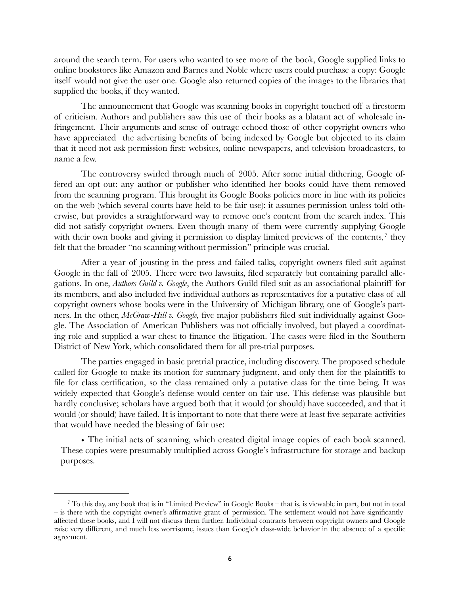around the search term. For users who wanted to see more of the book, Google supplied links to online bookstores like Amazon and Barnes and Noble where users could purchase a copy: Google itself would not give the user one. Google also returned copies of the images to the libraries that supplied the books, if they wanted.

The announcement that Google was scanning books in copyright touched off a firestorm of criticism. Authors and publishers saw this use of their books as a blatant act of wholesale infringement. Their arguments and sense of outrage echoed those of other copyright owners who have appreciated the advertising benefits of being indexed by Google but objected to its claim that it need not ask permission first: websites, online newspapers, and television broadcasters, to name a few.

The controversy swirled through much of 2005. After some initial dithering, Google offered an opt out: any author or publisher who identified her books could have them removed from the scanning program. This brought its Google Books policies more in line with its policies on the web (which several courts have held to be fair use): it assumes permission unless told otherwise, but provides a straightforward way to remove one's content from the search index. This did not satisfy copyright owners. Even though many of them were currently supplying Google with their own books and giving it permission to display limited previews of the contents,  $\frac{7}{1}$  $\frac{7}{1}$  $\frac{7}{1}$  they felt that the broader "no scanning without permission" principle was crucial.

After a year of jousting in the press and failed talks, copyright owners filed suit against Google in the fall of 2005. There were two lawsuits, filed separately but containing parallel allegations. In one, *Authors Guild v. Google*, the Authors Guild filed suit as an associational plaintiff for its members, and also included five individual authors as representatives for a putative class of all copyright owners whose books were in the University of Michigan library, one of Google's partners. In the other, *McGraw-Hill v. Google,* five major publishers filed suit individually against Google. The Association of American Publishers was not officially involved, but played a coordinating role and supplied a war chest to finance the litigation. The cases were filed in the Southern District of New York, which consolidated them for all pre-trial purposes.

The parties engaged in basic pretrial practice, including discovery. The proposed schedule called for Google to make its motion for summary judgment, and only then for the plaintiffs to file for class certification, so the class remained only a putative class for the time being. It was widely expected that Google's defense would center on fair use. This defense was plausible but hardly conclusive; scholars have argued both that it would (or should) have succeeded, and that it would (or should) have failed. It is important to note that there were at least five separate activities that would have needed the blessing of fair use:

• The initial acts of scanning, which created digital image copies of each book scanned. These copies were presumably multiplied across Google's infrastructure for storage and backup purposes.

<span id="page-5-0"></span> $^7$  To this day, any book that is in "Limited Preview" in Google Books – that is, is viewable in part, but not in total – is there with the copyright owner's affirmative grant of permission. The settlement would not have significantly affected these books, and I will not discuss them further. Individual contracts between copyright owners and Google raise very different, and much less worrisome, issues than Google's class-wide behavior in the absence of a specific agreement.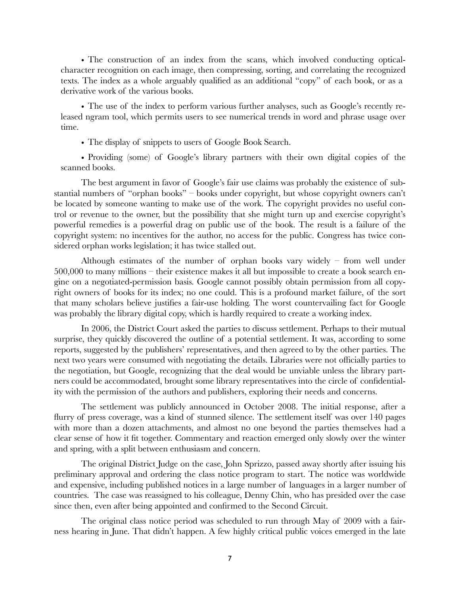• The construction of an index from the scans, which involved conducting opticalcharacter recognition on each image, then compressing, sorting, and correlating the recognized texts. The index as a whole arguably qualified as an additional "copy" of each book, or as a derivative work of the various books.

• The use of the index to perform various further analyses, such as Google's recently released ngram tool, which permits users to see numerical trends in word and phrase usage over time.

• The display of snippets to users of Google Book Search.

• Providing (some) of Google's library partners with their own digital copies of the scanned books.

The best argument in favor of Google's fair use claims was probably the existence of substantial numbers of "orphan books" – books under copyright, but whose copyright owners can't be located by someone wanting to make use of the work. The copyright provides no useful control or revenue to the owner, but the possibility that she might turn up and exercise copyright's powerful remedies is a powerful drag on public use of the book. The result is a failure of the copyright system: no incentives for the author, no access for the public. Congress has twice considered orphan works legislation; it has twice stalled out.

Although estimates of the number of orphan books vary widely – from well under 500,000 to many millions – their existence makes it all but impossible to create a book search engine on a negotiated-permission basis. Google cannot possibly obtain permission from all copyright owners of books for its index; no one could. This is a profound market failure, of the sort that many scholars believe justifies a fair-use holding. The worst countervailing fact for Google was probably the library digital copy, which is hardly required to create a working index.

In 2006, the District Court asked the parties to discuss settlement. Perhaps to their mutual surprise, they quickly discovered the outline of a potential settlement. It was, according to some reports, suggested by the publishers' representatives, and then agreed to by the other parties. The next two years were consumed with negotiating the details. Libraries were not officially parties to the negotiation, but Google, recognizing that the deal would be unviable unless the library partners could be accommodated, brought some library representatives into the circle of confidentiality with the permission of the authors and publishers, exploring their needs and concerns.

The settlement was publicly announced in October 2008. The initial response, after a flurry of press coverage, was a kind of stunned silence. The settlement itself was over 140 pages with more than a dozen attachments, and almost no one beyond the parties themselves had a clear sense of how it fit together. Commentary and reaction emerged only slowly over the winter and spring, with a split between enthusiasm and concern.

The original District Judge on the case, John Sprizzo, passed away shortly after issuing his preliminary approval and ordering the class notice program to start. The notice was worldwide and expensive, including published notices in a large number of languages in a larger number of countries. The case was reassigned to his colleague, Denny Chin, who has presided over the case since then, even after being appointed and confirmed to the Second Circuit.

The original class notice period was scheduled to run through May of 2009 with a fairness hearing in June. That didn't happen. A few highly critical public voices emerged in the late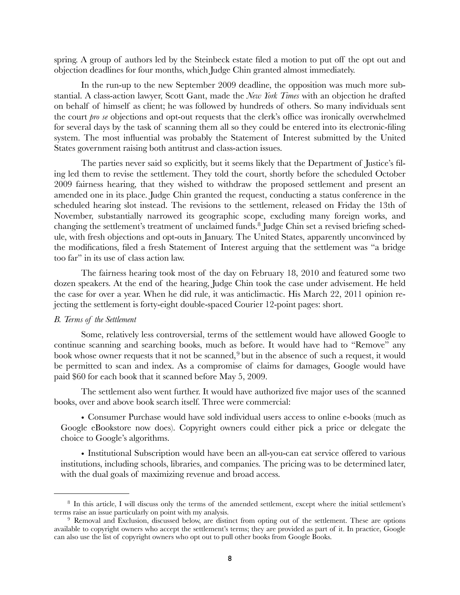spring. A group of authors led by the Steinbeck estate filed a motion to put off the opt out and objection deadlines for four months, which Judge Chin granted almost immediately.

In the run-up to the new September 2009 deadline, the opposition was much more substantial. A class-action lawyer, Scott Gant, made the *New York Times* with an objection he drafted on behalf of himself as client; he was followed by hundreds of others. So many individuals sent the court *pro se* objections and opt-out requests that the clerk's office was ironically overwhelmed for several days by the task of scanning them all so they could be entered into its electronic-filing system. The most influential was probably the Statement of Interest submitted by the United States government raising both antitrust and class-action issues.

The parties never said so explicitly, but it seems likely that the Department of Justice's filing led them to revise the settlement. They told the court, shortly before the scheduled October 2009 fairness hearing, that they wished to withdraw the proposed settlement and present an amended one in its place. Judge Chin granted the request, conducting a status conference in the scheduled hearing slot instead. The revisions to the settlement, released on Friday the 13th of November, substantially narrowed its geographic scope, excluding many foreign works, and changing the settlement's treatment of unclaimed funds.[8](#page-7-1) Judge Chin set a revised briefing schedule, with fresh objections and opt-outs in January. The United States, apparently unconvinced by the modifications, filed a fresh Statement of Interest arguing that the settlement was "a bridge too far" in its use of class action law.

The fairness hearing took most of the day on February 18, 2010 and featured some two dozen speakers. At the end of the hearing, Judge Chin took the case under advisement. He held the case for over a year. When he did rule, it was anticlimactic. His March 22, 2011 opinion rejecting the settlement is forty-eight double-spaced Courier 12-point pages: short.

### <span id="page-7-0"></span>*B. Terms of the Settlement*

Some, relatively less controversial, terms of the settlement would have allowed Google to continue scanning and searching books, much as before. It would have had to "Remove" any book whose owner requests that it not be scanned,<sup>[9](#page-7-2)</sup> but in the absence of such a request, it would be permitted to scan and index. As a compromise of claims for damages, Google would have paid \$60 for each book that it scanned before May 5, 2009.

The settlement also went further. It would have authorized five major uses of the scanned books, over and above book search itself. Three were commercial:

• Consumer Purchase would have sold individual users access to online e-books (much as Google eBookstore now does). Copyright owners could either pick a price or delegate the choice to Google's algorithms.

• Institutional Subscription would have been an all-you-can eat service offered to various institutions, including schools, libraries, and companies. The pricing was to be determined later, with the dual goals of maximizing revenue and broad access.

<span id="page-7-1"></span><sup>8</sup> In this article, I will discuss only the terms of the amended settlement, except where the initial settlement's terms raise an issue particularly on point with my analysis.

<span id="page-7-2"></span><sup>&</sup>lt;sup>9</sup> Removal and Exclusion, discussed below, are distinct from opting out of the settlement. These are options available to copyright owners who accept the settlement's terms; they are provided as part of it. In practice, Google can also use the list of copyright owners who opt out to pull other books from Google Books.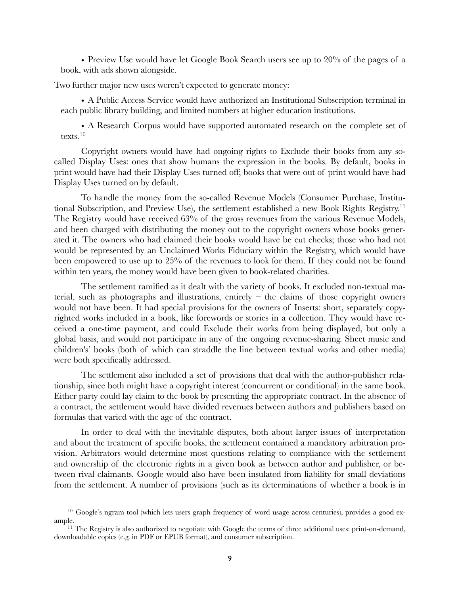• Preview Use would have let Google Book Search users see up to 20% of the pages of a book, with ads shown alongside.

Two further major new uses weren't expected to generate money:

• A Public Access Service would have authorized an Institutional Subscription terminal in each public library building, and limited numbers at higher education institutions.

• A Research Corpus would have supported automated research on the complete set of texts.[10](#page-8-0)

Copyright owners would have had ongoing rights to Exclude their books from any socalled Display Uses: ones that show humans the expression in the books. By default, books in print would have had their Display Uses turned off; books that were out of print would have had Display Uses turned on by default.

To handle the money from the so-called Revenue Models (Consumer Purchase, Institutional Subscription, and Preview Use), the settlement established a new Book Rights Registry.[11](#page-8-1) The Registry would have received 63% of the gross revenues from the various Revenue Models, and been charged with distributing the money out to the copyright owners whose books generated it. The owners who had claimed their books would have be cut checks; those who had not would be represented by an Unclaimed Works Fiduciary within the Registry, which would have been empowered to use up to 25% of the revenues to look for them. If they could not be found within ten years, the money would have been given to book-related charities.

The settlement ramified as it dealt with the variety of books. It excluded non-textual material, such as photographs and illustrations, entirely  $-$  the claims of those copyright owners would not have been. It had special provisions for the owners of Inserts: short, separately copyrighted works included in a book, like forewords or stories in a collection. They would have received a one-time payment, and could Exclude their works from being displayed, but only a global basis, and would not participate in any of the ongoing revenue-sharing. Sheet music and children's' books (both of which can straddle the line between textual works and other media) were both specifically addressed.

The settlement also included a set of provisions that deal with the author-publisher relationship, since both might have a copyright interest (concurrent or conditional) in the same book. Either party could lay claim to the book by presenting the appropriate contract. In the absence of a contract, the settlement would have divided revenues between authors and publishers based on formulas that varied with the age of the contract.

In order to deal with the inevitable disputes, both about larger issues of interpretation and about the treatment of specific books, the settlement contained a mandatory arbitration provision. Arbitrators would determine most questions relating to compliance with the settlement and ownership of the electronic rights in a given book as between author and publisher, or between rival claimants. Google would also have been insulated from liability for small deviations from the settlement. A number of provisions (such as its determinations of whether a book is in

<span id="page-8-0"></span><sup>&</sup>lt;sup>10</sup> Google's ngram tool (which lets users graph frequency of word usage across centuries), provides a good example.

<span id="page-8-1"></span><sup>&</sup>lt;sup>11</sup> The Registry is also authorized to negotiate with Google the terms of three additional uses: print-on-demand, downloadable copies (e.g. in PDF or EPUB format), and consumer subscription.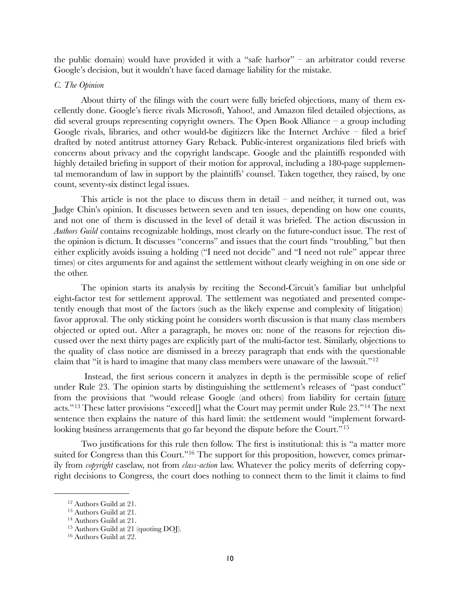the public domain) would have provided it with a "safe harbor" – an arbitrator could reverse Google's decision, but it wouldn't have faced damage liability for the mistake.

### <span id="page-9-0"></span>*C. The Opinion*

About thirty of the filings with the court were fully briefed objections, many of them excellently done. Google's fierce rivals Microsoft, Yahoo!, and Amazon filed detailed objections, as did several groups representing copyright owners. The Open Book Alliance – a group including Google rivals, libraries, and other would-be digitizers like the Internet Archive – filed a brief drafted by noted antitrust attorney Gary Reback. Public-interest organizations filed briefs with concerns about privacy and the copyright landscape. Google and the plaintiffs responded with highly detailed briefing in support of their motion for approval, including a 180-page supplemental memorandum of law in support by the plaintiffs' counsel. Taken together, they raised, by one count, seventy-six distinct legal issues.

This article is not the place to discuss them in detail – and neither, it turned out, was Judge Chin's opinion. It discusses between seven and ten issues, depending on how one counts, and not one of them is discussed in the level of detail it was briefed. The action discussion in *Authors Guild* contains recognizable holdings, most clearly on the future-conduct issue. The rest of the opinion is dictum. It discusses "concerns" and issues that the court finds "troubling," but then either explicitly avoids issuing a holding ("I need not decide" and "I need not rule" appear three times) or cites arguments for and against the settlement without clearly weighing in on one side or the other.

The opinion starts its analysis by reciting the Second-Circuit's familiar but unhelpful eight-factor test for settlement approval. The settlement was negotiated and presented competently enough that most of the factors (such as the likely expense and complexity of litigation) favor approval. The only sticking point he considers worth discussion is that many class members objected or opted out. After a paragraph, he moves on: none of the reasons for rejection discussed over the next thirty pages are explicitly part of the multi-factor test. Similarly, objections to the quality of class notice are dismissed in a breezy paragraph that ends with the questionable claim that "it is hard to imagine that many class members were unaware of the lawsuit."[12](#page-9-1)

 Instead, the first serious concern it analyzes in depth is the permissible scope of relief under Rule 23. The opinion starts by distinguishing the settlement's releases of "past conduct" from the provisions that "would release Google (and others) from liability for certain future acts."<sup>[13](#page-9-2)</sup> These latter provisions "exceed<sup>[]</sup> what the Court may permit under Rule 23."<sup>[14](#page-9-3)</sup> The next sentence then explains the nature of this hard limit: the settlement would "implement forward-looking business arrangements that go far beyond the dispute before the Court."<sup>[15](#page-9-4)</sup>

Two justifications for this rule then follow. The first is institutional: this is "a matter more suited for Congress than this Court."<sup>[16](#page-9-5)</sup> The support for this proposition, however, comes primarily from *copyright* caselaw, not from *class-action* law. Whatever the policy merits of deferring copyright decisions to Congress, the court does nothing to connect them to the limit it claims to find

<span id="page-9-1"></span><sup>12</sup> Authors Guild at 21.

<span id="page-9-2"></span><sup>13</sup> Authors Guild at 21.

<span id="page-9-3"></span><sup>14</sup> Authors Guild at 21.

<span id="page-9-4"></span><sup>15</sup> Authors Guild at 21 (quoting DOJ).

<span id="page-9-5"></span><sup>16</sup> Authors Guild at 22.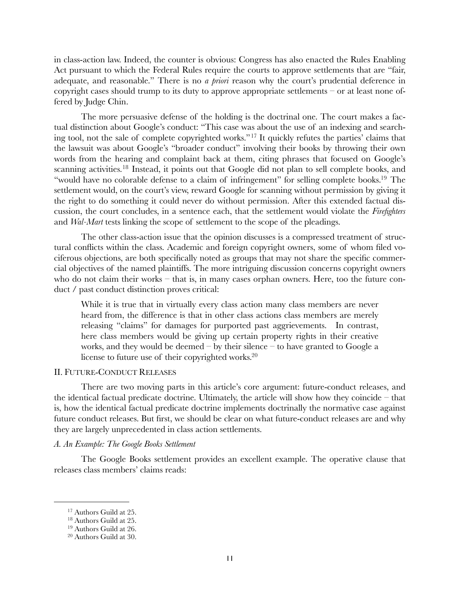in class-action law. Indeed, the counter is obvious: Congress has also enacted the Rules Enabling Act pursuant to which the Federal Rules require the courts to approve settlements that are "fair, adequate, and reasonable." There is no *a priori* reason why the court's prudential deference in copyright cases should trump to its duty to approve appropriate settlements – or at least none offered by Judge Chin.

The more persuasive defense of the holding is the doctrinal one. The court makes a factual distinction about Google's conduct: "This case was about the use of an indexing and searching tool, not the sale of complete copyrighted works."[17](#page-10-2) It quickly refutes the parties' claims that the lawsuit was about Google's "broader conduct" involving their books by throwing their own words from the hearing and complaint back at them, citing phrases that focused on Google's scanning activities.<sup>[18](#page-10-3)</sup> Instead, it points out that Google did not plan to sell complete books, and "would have no colorable defense to a claim of infringement" for selling complete books[.19](#page-10-4) The settlement would, on the court's view, reward Google for scanning without permission by giving it the right to do something it could never do without permission. After this extended factual discussion, the court concludes, in a sentence each, that the settlement would violate the *Firefighters* and *Wal-Mart* tests linking the scope of settlement to the scope of the pleadings.

The other class-action issue that the opinion discusses is a compressed treatment of structural conflicts within the class. Academic and foreign copyright owners, some of whom filed vociferous objections, are both specifically noted as groups that may not share the specific commercial objectives of the named plaintiffs. The more intriguing discussion concerns copyright owners who do not claim their works – that is, in many cases orphan owners. Here, too the future conduct / past conduct distinction proves critical:

While it is true that in virtually every class action many class members are never heard from, the difference is that in other class actions class members are merely releasing "claims" for damages for purported past aggrievements. In contrast, here class members would be giving up certain property rights in their creative works, and they would be deemed – by their silence – to have granted to Google a license to future use of their copyrighted works.<sup>20</sup>

# <span id="page-10-0"></span>II. FUTURE-CONDUCT RELEASES

There are two moving parts in this article's core argument: future-conduct releases, and the identical factual predicate doctrine. Ultimately, the article will show how they coincide  $-$  that is, how the identical factual predicate doctrine implements doctrinally the normative case against future conduct releases. But first, we should be clear on what future-conduct releases are and why they are largely unprecedented in class action settlements.

### <span id="page-10-1"></span>*A. An Example: The Google Books Settlement*

The Google Books settlement provides an excellent example. The operative clause that releases class members' claims reads:

<span id="page-10-2"></span><sup>&</sup>lt;sup>17</sup> Authors Guild at 25.

<span id="page-10-3"></span><sup>18</sup> Authors Guild at 25.

<span id="page-10-4"></span><sup>19</sup> Authors Guild at 26.

<span id="page-10-5"></span><sup>20</sup> Authors Guild at 30.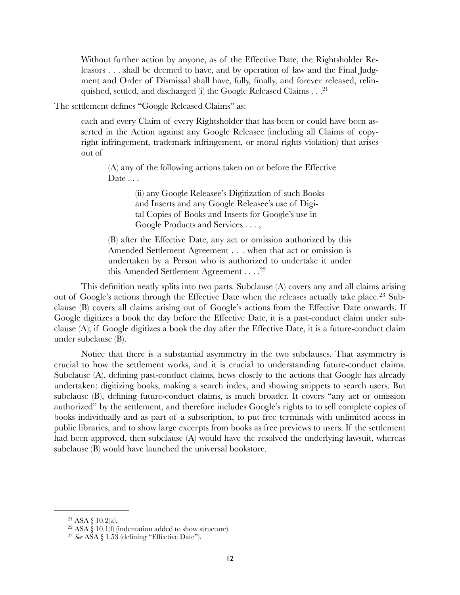Without further action by anyone, as of the Effective Date, the Rightsholder Releasors . . . shall be deemed to have, and by operation of law and the Final Judgment and Order of Dismissal shall have, fully, finally, and forever released, relinquished, settled, and discharged (i) the Google Released Claims . . [.21](#page-11-0)

The settlement defines "Google Released Claims" as:

each and every Claim of every Rightsholder that has been or could have been asserted in the Action against any Google Releasee (including all Claims of copyright infringement, trademark infringement, or moral rights violation) that arises out of

(A) any of the following actions taken on or before the Effective Date . . .

> (ii) any Google Releasee's Digitization of such Books and Inserts and any Google Releasee's use of Digital Copies of Books and Inserts for Google's use in Google Products and Services . . . ,

(B) after the Effective Date, any act or omission authorized by this Amended Settlement Agreement . . . when that act or omission is undertaken by a Person who is authorized to undertake it under this Amended Settlement Agreement . . . . <sup>22</sup>

This definition neatly splits into two parts. Subclause (A) covers any and all claims arising out of Google's actions through the Effective Date when the releases actually take place.<sup>[23](#page-11-2)</sup> Subclause (B) covers all claims arising out of Google's actions from the Effective Date onwards. If Google digitizes a book the day before the Effective Date, it is a past-conduct claim under subclause (A); if Google digitizes a book the day after the Effective Date, it is a future-conduct claim under subclause (B).

Notice that there is a substantial asymmetry in the two subclauses. That asymmetry is crucial to how the settlement works, and it is crucial to understanding future-conduct claims. Subclause (A), defining past-conduct claims, hews closely to the actions that Google has already undertaken: digitizing books, making a search index, and showing snippets to search users. But subclause (B), defining future-conduct claims, is much broader. It covers "any act or omission authorized" by the settlement, and therefore includes Google's rights to to sell complete copies of books individually and as part of a subscription, to put free terminals with unlimited access in public libraries, and to show large excerpts from books as free previews to users. If the settlement had been approved, then subclause (A) would have the resolved the underlying lawsuit, whereas subclause (B) would have launched the universal bookstore.

<span id="page-11-0"></span> $21$  ASA § 10.2(a).

<span id="page-11-1"></span> $22$  ASA § 10.1(f) (indentation added to show structure).

<span id="page-11-2"></span><sup>23</sup> *See* ASA § 1.53 (defining "Effective Date").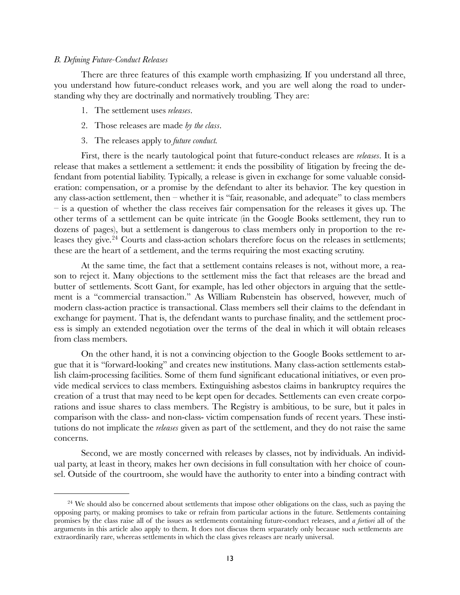### <span id="page-12-0"></span>*B. Defining Future-Conduct Releases*

There are three features of this example worth emphasizing. If you understand all three, you understand how future-conduct releases work, and you are well along the road to understanding why they are doctrinally and normatively troubling. They are:

- 1. The settlement uses *releases*.
- 2. Those releases are made *by the class*.
- 3. The releases apply to *future conduct.*

First, there is the nearly tautological point that future-conduct releases are *releases*. It is a release that makes a settlement a settlement: it ends the possibility of litigation by freeing the defendant from potential liability. Typically, a release is given in exchange for some valuable consideration: compensation, or a promise by the defendant to alter its behavior. The key question in any class-action settlement, then – whether it is "fair, reasonable, and adequate" to class members – is a question of whether the class receives fair compensation for the releases it gives up. The other terms of a settlement can be quite intricate (in the Google Books settlement, they run to dozens of pages), but a settlement is dangerous to class members only in proportion to the re-leases they give.<sup>[24](#page-12-1)</sup> Courts and class-action scholars therefore focus on the releases in settlements; these are the heart of a settlement, and the terms requiring the most exacting scrutiny.

At the same time, the fact that a settlement contains releases is not, without more, a reason to reject it. Many objections to the settlement miss the fact that releases are the bread and butter of settlements. Scott Gant, for example, has led other objectors in arguing that the settlement is a "commercial transaction." As William Rubenstein has observed, however, much of modern class-action practice is transactional. Class members sell their claims to the defendant in exchange for payment. That is, the defendant wants to purchase finality, and the settlement process is simply an extended negotiation over the terms of the deal in which it will obtain releases from class members.

On the other hand, it is not a convincing objection to the Google Books settlement to argue that it is "forward-looking" and creates new institutions. Many class-action settlements establish claim-processing facilities. Some of them fund significant educational initiatives, or even provide medical services to class members. Extinguishing asbestos claims in bankruptcy requires the creation of a trust that may need to be kept open for decades. Settlements can even create corporations and issue shares to class members. The Registry is ambitious, to be sure, but it pales in comparison with the class- and non-class- victim compensation funds of recent years. These institutions do not implicate the *releases* given as part of the settlement, and they do not raise the same concerns.

Second, we are mostly concerned with releases by classes, not by individuals. An individual party, at least in theory, makes her own decisions in full consultation with her choice of counsel. Outside of the courtroom, she would have the authority to enter into a binding contract with

<span id="page-12-1"></span><sup>&</sup>lt;sup>24</sup> We should also be concerned about settlements that impose other obligations on the class, such as paying the opposing party, or making promises to take or refrain from particular actions in the future. Settlements containing promises by the class raise all of the issues as settlements containing future-conduct releases, and *a fortiori* all of the arguments in this article also apply to them. It does not discuss them separately only because such settlements are extraordinarily rare, whereas settlements in which the class gives releases are nearly universal.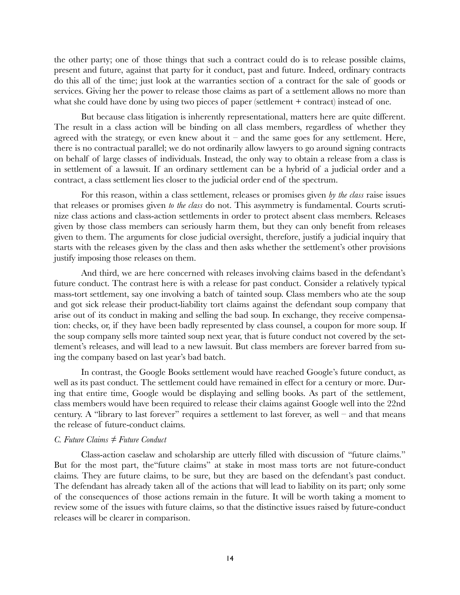the other party; one of those things that such a contract could do is to release possible claims, present and future, against that party for it conduct, past and future. Indeed, ordinary contracts do this all of the time; just look at the warranties section of a contract for the sale of goods or services. Giving her the power to release those claims as part of a settlement allows no more than what she could have done by using two pieces of paper (settlement  $+$  contract) instead of one.

But because class litigation is inherently representational, matters here are quite different. The result in a class action will be binding on all class members, regardless of whether they agreed with the strategy, or even knew about it – and the same goes for any settlement. Here, there is no contractual parallel; we do not ordinarily allow lawyers to go around signing contracts on behalf of large classes of individuals. Instead, the only way to obtain a release from a class is in settlement of a lawsuit. If an ordinary settlement can be a hybrid of a judicial order and a contract, a class settlement lies closer to the judicial order end of the spectrum.

For this reason, within a class settlement, releases or promises given *by the class* raise issues that releases or promises given *to the class* do not. This asymmetry is fundamental. Courts scrutinize class actions and class-action settlements in order to protect absent class members. Releases given by those class members can seriously harm them, but they can only benefit from releases given to them. The arguments for close judicial oversight, therefore, justify a judicial inquiry that starts with the releases given by the class and then asks whether the settlement's other provisions justify imposing those releases on them.

And third, we are here concerned with releases involving claims based in the defendant's future conduct. The contrast here is with a release for past conduct. Consider a relatively typical mass-tort settlement, say one involving a batch of tainted soup. Class members who ate the soup and got sick release their product-liability tort claims against the defendant soup company that arise out of its conduct in making and selling the bad soup. In exchange, they receive compensation: checks, or, if they have been badly represented by class counsel, a coupon for more soup. If the soup company sells more tainted soup next year, that is future conduct not covered by the settlement's releases, and will lead to a new lawsuit. But class members are forever barred from suing the company based on last year's bad batch.

In contrast, the Google Books settlement would have reached Google's future conduct, as well as its past conduct. The settlement could have remained in effect for a century or more. During that entire time, Google would be displaying and selling books. As part of the settlement, class members would have been required to release their claims against Google well into the 22nd century. A "library to last forever" requires a settlement to last forever, as well – and that means the release of future-conduct claims.

## <span id="page-13-0"></span>*C. Future Claims ≠ Future Conduct*

Class-action caselaw and scholarship are utterly filled with discussion of "future claims." But for the most part, the"future claims" at stake in most mass torts are not future-conduct claims. They are future claims, to be sure, but they are based on the defendant's past conduct. The defendant has already taken all of the actions that will lead to liability on its part; only some of the consequences of those actions remain in the future. It will be worth taking a moment to review some of the issues with future claims, so that the distinctive issues raised by future-conduct releases will be clearer in comparison.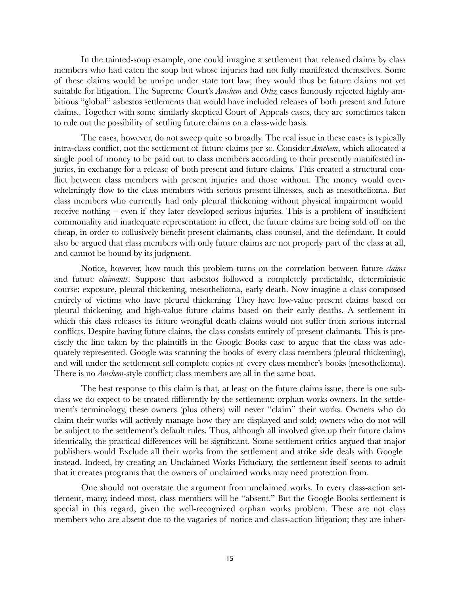In the tainted-soup example, one could imagine a settlement that released claims by class members who had eaten the soup but whose injuries had not fully manifested themselves. Some of these claims would be unripe under state tort law; they would thus be future claims not yet suitable for litigation. The Supreme Court's *Amchem* and *Ortiz* cases famously rejected highly ambitious "global" asbestos settlements that would have included releases of both present and future claims,. Together with some similarly skeptical Court of Appeals cases, they are sometimes taken to rule out the possibility of settling future claims on a class-wide basis.

The cases, however, do not sweep quite so broadly. The real issue in these cases is typically intra-class conflict, not the settlement of future claims per se. Consider *Amchem*, which allocated a single pool of money to be paid out to class members according to their presently manifested injuries, in exchange for a release of both present and future claims. This created a structural conflict between class members with present injuries and those without. The money would overwhelmingly flow to the class members with serious present illnesses, such as mesothelioma. But class members who currently had only pleural thickening without physical impairment would receive nothing – even if they later developed serious injuries. This is a problem of insufficient commonality and inadequate representation: in effect, the future claims are being sold off on the cheap, in order to collusively benefit present claimants, class counsel, and the defendant. It could also be argued that class members with only future claims are not properly part of the class at all, and cannot be bound by its judgment.

Notice, however, how much this problem turns on the correlation between future *claims* and future *claimants*. Suppose that asbestos followed a completely predictable, deterministic course: exposure, pleural thickening, mesothelioma, early death. Now imagine a class composed entirely of victims who have pleural thickening. They have low-value present claims based on pleural thickening, and high-value future claims based on their early deaths. A settlement in which this class releases its future wrongful death claims would not suffer from serious internal conflicts. Despite having future claims, the class consists entirely of present claimants. This is precisely the line taken by the plaintiffs in the Google Books case to argue that the class was adequately represented. Google was scanning the books of every class members (pleural thickening), and will under the settlement sell complete copies of every class member's books (mesothelioma). There is no *Amchem*-style conflict; class members are all in the same boat.

The best response to this claim is that, at least on the future claims issue, there is one subclass we do expect to be treated differently by the settlement: orphan works owners. In the settlement's terminology, these owners (plus others) will never "claim" their works. Owners who do claim their works will actively manage how they are displayed and sold; owners who do not will be subject to the settlement's default rules. Thus, although all involved give up their future claims identically, the practical differences will be significant. Some settlement critics argued that major publishers would Exclude all their works from the settlement and strike side deals with Google instead. Indeed, by creating an Unclaimed Works Fiduciary, the settlement itself seems to admit that it creates programs that the owners of unclaimed works may need protection from.

One should not overstate the argument from unclaimed works. In every class-action settlement, many, indeed most, class members will be "absent." But the Google Books settlement is special in this regard, given the well-recognized orphan works problem. These are not class members who are absent due to the vagaries of notice and class-action litigation; they are inher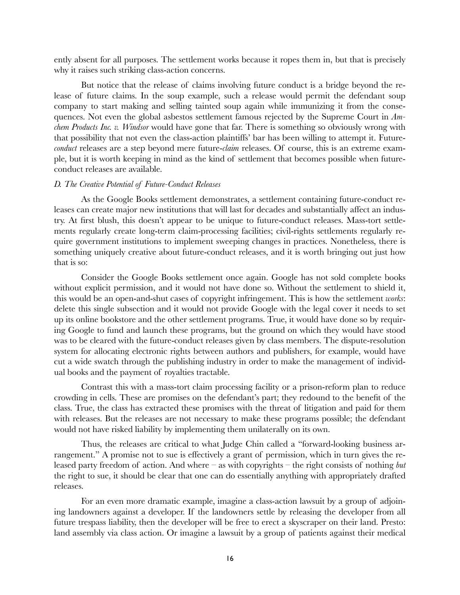ently absent for all purposes. The settlement works because it ropes them in, but that is precisely why it raises such striking class-action concerns.

But notice that the release of claims involving future conduct is a bridge beyond the release of future claims. In the soup example, such a release would permit the defendant soup company to start making and selling tainted soup again while immunizing it from the consequences. Not even the global asbestos settlement famous rejected by the Supreme Court in *Amchem Products Inc. v. Windsor* would have gone that far. There is something so obviously wrong with that possibility that not even the class-action plaintiffs' bar has been willing to attempt it. Future*conduct* releases are a step beyond mere future-*claim* releases. Of course, this is an extreme example, but it is worth keeping in mind as the kind of settlement that becomes possible when futureconduct releases are available.

#### <span id="page-15-0"></span>*D. The Creative Potential of Future-Conduct Releases*

As the Google Books settlement demonstrates, a settlement containing future-conduct releases can create major new institutions that will last for decades and substantially affect an industry. At first blush, this doesn't appear to be unique to future-conduct releases. Mass-tort settlements regularly create long-term claim-processing facilities; civil-rights settlements regularly require government institutions to implement sweeping changes in practices. Nonetheless, there is something uniquely creative about future-conduct releases, and it is worth bringing out just how that is so:

Consider the Google Books settlement once again. Google has not sold complete books without explicit permission, and it would not have done so. Without the settlement to shield it, this would be an open-and-shut cases of copyright infringement. This is how the settlement *works*: delete this single subsection and it would not provide Google with the legal cover it needs to set up its online bookstore and the other settlement programs. True, it would have done so by requiring Google to fund and launch these programs, but the ground on which they would have stood was to be cleared with the future-conduct releases given by class members. The dispute-resolution system for allocating electronic rights between authors and publishers, for example, would have cut a wide swatch through the publishing industry in order to make the management of individual books and the payment of royalties tractable.

Contrast this with a mass-tort claim processing facility or a prison-reform plan to reduce crowding in cells. These are promises on the defendant's part; they redound to the benefit of the class. True, the class has extracted these promises with the threat of litigation and paid for them with releases. But the releases are not necessary to make these programs possible; the defendant would not have risked liability by implementing them unilaterally on its own.

Thus, the releases are critical to what Judge Chin called a "forward-looking business arrangement." A promise not to sue is effectively a grant of permission, which in turn gives the released party freedom of action. And where – as with copyrights – the right consists of nothing *but* the right to sue, it should be clear that one can do essentially anything with appropriately drafted releases.

For an even more dramatic example, imagine a class-action lawsuit by a group of adjoining landowners against a developer. If the landowners settle by releasing the developer from all future trespass liability, then the developer will be free to erect a skyscraper on their land. Presto: land assembly via class action. Or imagine a lawsuit by a group of patients against their medical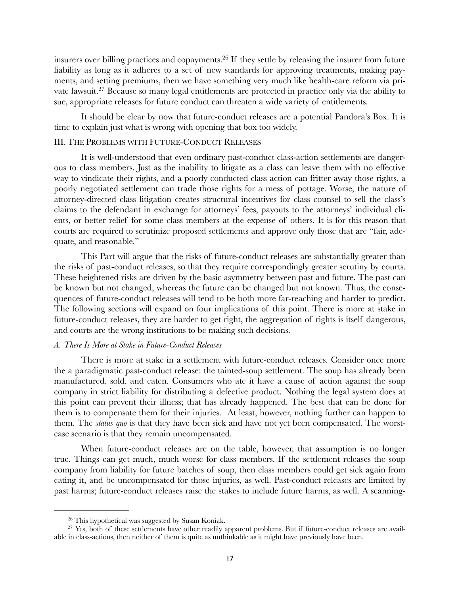insurers over billing practices and copayments[.26](#page-16-2) If they settle by releasing the insurer from future liability as long as it adheres to a set of new standards for approving treatments, making payments, and setting premiums, then we have something very much like health-care reform via private lawsuit[.27](#page-16-3) Because so many legal entitlements are protected in practice only via the ability to sue, appropriate releases for future conduct can threaten a wide variety of entitlements.

It should be clear by now that future-conduct releases are a potential Pandora's Box. It is time to explain just what is wrong with opening that box too widely.

## <span id="page-16-0"></span>III. THE PROBLEMS WITH FUTURE-CONDUCT RELEASES

It is well-understood that even ordinary past-conduct class-action settlements are dangerous to class members. Just as the inability to litigate as a class can leave them with no effective way to vindicate their rights, and a poorly conducted class action can fritter away those rights, a poorly negotiated settlement can trade those rights for a mess of pottage. Worse, the nature of attorney-directed class litigation creates structural incentives for class counsel to sell the class's claims to the defendant in exchange for attorneys' fees, payouts to the attorneys' individual clients, or better relief for some class members at the expense of others. It is for this reason that courts are required to scrutinize proposed settlements and approve only those that are "fair, adequate, and reasonable."

This Part will argue that the risks of future-conduct releases are substantially greater than the risks of past-conduct releases, so that they require correspondingly greater scrutiny by courts. These heightened risks are driven by the basic asymmetry between past and future. The past can be known but not changed, whereas the future can be changed but not known. Thus, the consequences of future-conduct releases will tend to be both more far-reaching and harder to predict. The following sections will expand on four implications of this point. There is more at stake in future-conduct releases, they are harder to get right, the aggregation of rights is itself dangerous, and courts are the wrong institutions to be making such decisions.

## <span id="page-16-1"></span>*A. There Is More at Stake in Future-Conduct Releases*

There is more at stake in a settlement with future-conduct releases. Consider once more the a paradigmatic past-conduct release: the tainted-soup settlement. The soup has already been manufactured, sold, and eaten. Consumers who ate it have a cause of action against the soup company in strict liability for distributing a defective product. Nothing the legal system does at this point can prevent their illness; that has already happened. The best that can be done for them is to compensate them for their injuries. At least, however, nothing further can happen to them. The *status quo* is that they have been sick and have not yet been compensated. The worstcase scenario is that they remain uncompensated.

When future-conduct releases are on the table, however, that assumption is no longer true. Things can get much, much worse for class members. If the settlement releases the soup company from liability for future batches of soup, then class members could get sick again from eating it, and be uncompensated for those injuries, as well. Past-conduct releases are limited by past harms; future-conduct releases raise the stakes to include future harms, as well. A scanning-

<span id="page-16-3"></span><span id="page-16-2"></span><sup>26</sup> This hypothetical was suggested by Susan Koniak.

<sup>&</sup>lt;sup>27</sup> Yes, both of these settlements have other readily apparent problems. But if future-conduct releases are available in class-actions, then neither of them is quite as unthinkable as it might have previously have been.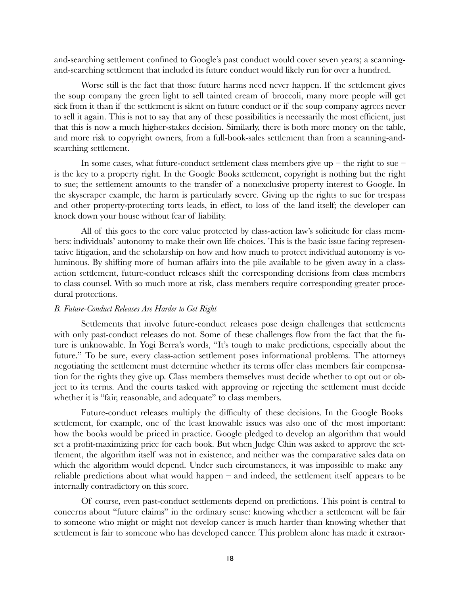and-searching settlement confined to Google's past conduct would cover seven years; a scanningand-searching settlement that included its future conduct would likely run for over a hundred.

Worse still is the fact that those future harms need never happen. If the settlement gives the soup company the green light to sell tainted cream of broccoli, many more people will get sick from it than if the settlement is silent on future conduct or if the soup company agrees never to sell it again. This is not to say that any of these possibilities is necessarily the most efficient, just that this is now a much higher-stakes decision. Similarly, there is both more money on the table, and more risk to copyright owners, from a full-book-sales settlement than from a scanning-andsearching settlement.

In some cases, what future-conduct settlement class members give up – the right to sue – is the key to a property right. In the Google Books settlement, copyright is nothing but the right to sue; the settlement amounts to the transfer of a nonexclusive property interest to Google. In the skyscraper example, the harm is particularly severe. Giving up the rights to sue for trespass and other property-protecting torts leads, in effect, to loss of the land itself; the developer can knock down your house without fear of liability.

All of this goes to the core value protected by class-action law's solicitude for class members: individuals' autonomy to make their own life choices. This is the basic issue facing representative litigation, and the scholarship on how and how much to protect individual autonomy is voluminous. By shifting more of human affairs into the pile available to be given away in a classaction settlement, future-conduct releases shift the corresponding decisions from class members to class counsel. With so much more at risk, class members require corresponding greater procedural protections.

#### <span id="page-17-0"></span>*B. Future-Conduct Releases Are Harder to Get Right*

Settlements that involve future-conduct releases pose design challenges that settlements with only past-conduct releases do not. Some of these challenges flow from the fact that the future is unknowable. In Yogi Berra's words, "It's tough to make predictions, especially about the future." To be sure, every class-action settlement poses informational problems. The attorneys negotiating the settlement must determine whether its terms offer class members fair compensation for the rights they give up. Class members themselves must decide whether to opt out or object to its terms. And the courts tasked with approving or rejecting the settlement must decide whether it is "fair, reasonable, and adequate" to class members.

Future-conduct releases multiply the difficulty of these decisions. In the Google Books settlement, for example, one of the least knowable issues was also one of the most important: how the books would be priced in practice. Google pledged to develop an algorithm that would set a profit-maximizing price for each book. But when Judge Chin was asked to approve the settlement, the algorithm itself was not in existence, and neither was the comparative sales data on which the algorithm would depend. Under such circumstances, it was impossible to make any reliable predictions about what would happen – and indeed, the settlement itself appears to be internally contradictory on this score.

Of course, even past-conduct settlements depend on predictions. This point is central to concerns about "future claims" in the ordinary sense: knowing whether a settlement will be fair to someone who might or might not develop cancer is much harder than knowing whether that settlement is fair to someone who has developed cancer. This problem alone has made it extraor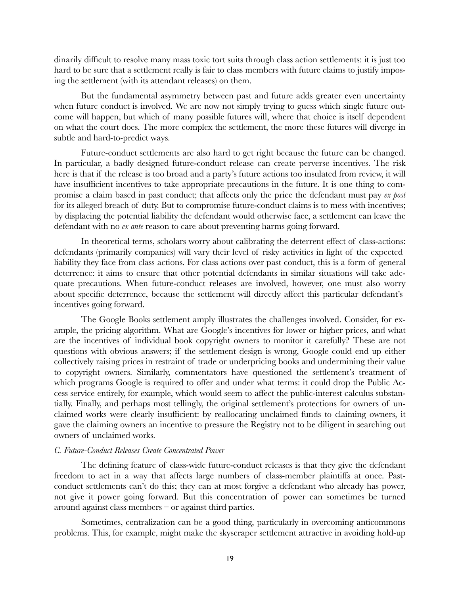dinarily difficult to resolve many mass toxic tort suits through class action settlements: it is just too hard to be sure that a settlement really is fair to class members with future claims to justify imposing the settlement (with its attendant releases) on them.

But the fundamental asymmetry between past and future adds greater even uncertainty when future conduct is involved. We are now not simply trying to guess which single future outcome will happen, but which of many possible futures will, where that choice is itself dependent on what the court does. The more complex the settlement, the more these futures will diverge in subtle and hard-to-predict ways.

Future-conduct settlements are also hard to get right because the future can be changed. In particular, a badly designed future-conduct release can create perverse incentives. The risk here is that if the release is too broad and a party's future actions too insulated from review, it will have insufficient incentives to take appropriate precautions in the future. It is one thing to compromise a claim based in past conduct; that affects only the price the defendant must pay *ex post* for its alleged breach of duty. But to compromise future-conduct claims is to mess with incentives; by displacing the potential liability the defendant would otherwise face, a settlement can leave the defendant with no *ex ante* reason to care about preventing harms going forward.

In theoretical terms, scholars worry about calibrating the deterrent effect of class-actions: defendants (primarily companies) will vary their level of risky activities in light of the expected liability they face from class actions. For class actions over past conduct, this is a form of general deterrence: it aims to ensure that other potential defendants in similar situations will take adequate precautions. When future-conduct releases are involved, however, one must also worry about specific deterrence, because the settlement will directly affect this particular defendant's incentives going forward.

The Google Books settlement amply illustrates the challenges involved. Consider, for example, the pricing algorithm. What are Google's incentives for lower or higher prices, and what are the incentives of individual book copyright owners to monitor it carefully? These are not questions with obvious answers; if the settlement design is wrong, Google could end up either collectively raising prices in restraint of trade or underpricing books and undermining their value to copyright owners. Similarly, commentators have questioned the settlement's treatment of which programs Google is required to offer and under what terms: it could drop the Public Access service entirely, for example, which would seem to affect the public-interest calculus substantially. Finally, and perhaps most tellingly, the original settlement's protections for owners of unclaimed works were clearly insufficient: by reallocating unclaimed funds to claiming owners, it gave the claiming owners an incentive to pressure the Registry not to be diligent in searching out owners of unclaimed works.

### <span id="page-18-0"></span>*C. Future-Conduct Releases Create Concentrated Power*

The defining feature of class-wide future-conduct releases is that they give the defendant freedom to act in a way that affects large numbers of class-member plaintiffs at once. Pastconduct settlements can't do this; they can at most forgive a defendant who already has power, not give it power going forward. But this concentration of power can sometimes be turned around against class members – or against third parties.

Sometimes, centralization can be a good thing, particularly in overcoming anticommons problems. This, for example, might make the skyscraper settlement attractive in avoiding hold-up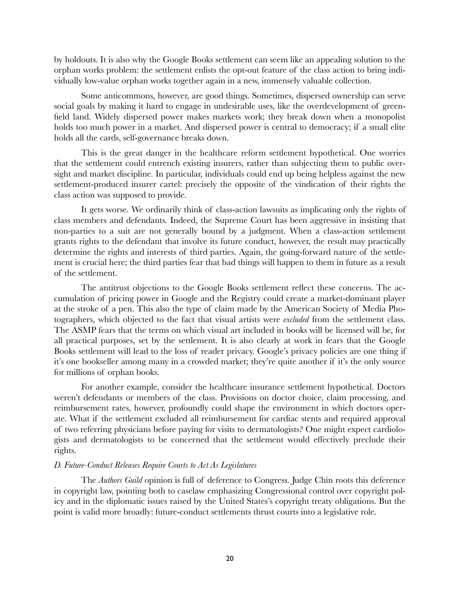by holdouts. It is also why the Google Books settlement can seem like an appealing solution to the orphan works problem: the settlement enlists the opt-out feature of the class action to bring individually low-value orphan works together again in a new, immensely valuable collection.

Some anticommons, however, are good things. Sometimes, dispersed ownership can serve social goals by making it hard to engage in undesirable uses, like the overdevelopment of greenfield land. Widely dispersed power makes markets work; they break down when a monopolist holds too much power in a market. And dispersed power is central to democracy; if a small elite holds all the cards, self-governance breaks down.

This is the great danger in the healthcare reform settlement hypothetical. One worries that the settlement could entrench existing insurers, rather than subjecting them to public oversight and market discipline. In particular, individuals could end up being helpless against the new settlement-produced insurer cartel: precisely the opposite of the vindication of their rights the class action was supposed to provide.

It gets worse. We ordinarily think of class-action lawsuits as implicating only the rights of class members and defendants. Indeed, the Supreme Court has been aggressive in insisting that non-parties to a suit are not generally bound by a judgment. When a class-action settlement grants rights to the defendant that involve its future conduct, however, the result may practically determine the rights and interests of third parties. Again, the going-forward nature of the settlement is crucial here; the third parties fear that bad things will happen to them in future as a result of the settlement.

The antitrust objections to the Google Books settlement reflect these concerns. The accumulation of pricing power in Google and the Registry could create a market-dominant player at the stroke of a pen. This also the type of claim made by the American Society of Media Photographers, which objected to the fact that visual artists were *excluded* from the settlement class. The ASMP fears that the terms on which visual art included in books will be licensed will be, for all practical purposes, set by the settlement. It is also clearly at work in fears that the Google Books settlement will lead to the loss of reader privacy. Google's privacy policies are one thing if it's one bookseller among many in a crowded market; they're quite another if it's the only source for millions of orphan books.

For another example, consider the healthcare insurance settlement hypothetical. Doctors weren't defendants or members of the class. Provisions on doctor choice, claim processing, and reimbursement rates, however, profoundly could shape the environment in which doctors operate. What if the settlement excluded all reimbursement for cardiac stents and required approval of two referring physicians before paying for visits to dermatologists? One might expect cardiologists and dermatologists to be concerned that the settlement would effectively preclude their rights.

### <span id="page-19-0"></span>*D. Future-Conduct Releases Require Courts to Act As Legislatures*

The *Authors Guild* opinion is full of deference to Congress. Judge Chin roots this deference in copyright law, pointing both to caselaw emphasizing Congressional control over copyright policy and in the diplomatic issues raised by the United States's copyright treaty obligations. But the point is valid more broadly: future-conduct settlements thrust courts into a legislative role.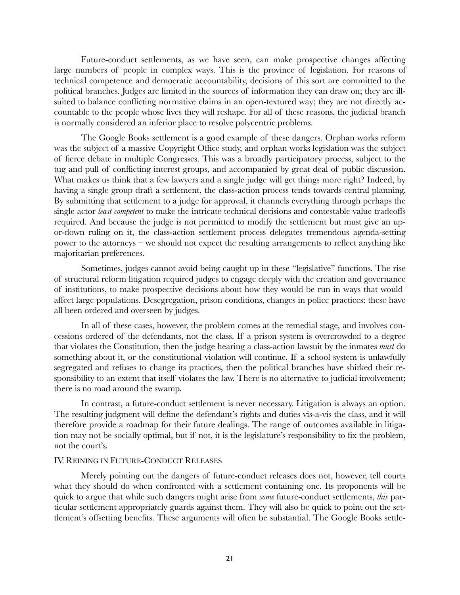Future-conduct settlements, as we have seen, can make prospective changes affecting large numbers of people in complex ways. This is the province of legislation. For reasons of technical competence and democratic accountability, decisions of this sort are committed to the political branches. Judges are limited in the sources of information they can draw on; they are illsuited to balance conflicting normative claims in an open-textured way; they are not directly accountable to the people whose lives they will reshape. For all of these reasons, the judicial branch is normally considered an inferior place to resolve polycentric problems.

The Google Books settlement is a good example of these dangers. Orphan works reform was the subject of a massive Copyright Office study, and orphan works legislation was the subject of fierce debate in multiple Congresses. This was a broadly participatory process, subject to the tug and pull of conflicting interest groups, and accompanied by great deal of public discussion. What makes us think that a few lawyers and a single judge will get things more right? Indeed, by having a single group draft a settlement, the class-action process tends towards central planning. By submitting that settlement to a judge for approval, it channels everything through perhaps the single actor *least competent* to make the intricate technical decisions and contestable value tradeoffs required. And because the judge is not permitted to modify the settlement but must give an upor-down ruling on it, the class-action settlement process delegates tremendous agenda-setting power to the attorneys – we should not expect the resulting arrangements to reflect anything like majoritarian preferences.

Sometimes, judges cannot avoid being caught up in these "legislative" functions. The rise of structural reform litigation required judges to engage deeply with the creation and governance of institutions, to make prospective decisions about how they would be run in ways that would affect large populations. Desegregation, prison conditions, changes in police practices: these have all been ordered and overseen by judges.

In all of these cases, however, the problem comes at the remedial stage, and involves concessions ordered of the defendants, not the class. If a prison system is overcrowded to a degree that violates the Constitution, then the judge hearing a class-action lawsuit by the inmates *must* do something about it, or the constitutional violation will continue. If a school system is unlawfully segregated and refuses to change its practices, then the political branches have shirked their responsibility to an extent that itself violates the law. There is no alternative to judicial involvement; there is no road around the swamp.

In contrast, a future-conduct settlement is never necessary. Litigation is always an option. The resulting judgment will define the defendant's rights and duties vis-a-vis the class, and it will therefore provide a roadmap for their future dealings. The range of outcomes available in litigation may not be socially optimal, but if not, it is the legislature's responsibility to fix the problem, not the court's.

### <span id="page-20-0"></span>IV. REINING IN FUTURE-CONDUCT RELEASES

Merely pointing out the dangers of future-conduct releases does not, however, tell courts what they should do when confronted with a settlement containing one. Its proponents will be quick to argue that while such dangers might arise from *some* future-conduct settlements, *this* particular settlement appropriately guards against them. They will also be quick to point out the settlement's offsetting benefits. These arguments will often be substantial. The Google Books settle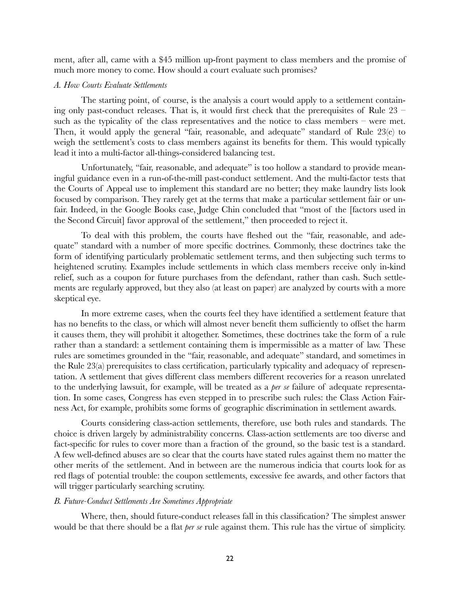ment, after all, came with a \$45 million up-front payment to class members and the promise of much more money to come. How should a court evaluate such promises?

### <span id="page-21-0"></span>*A. How Courts Evaluate Settlements*

The starting point, of course, is the analysis a court would apply to a settlement containing only past-conduct releases. That is, it would first check that the prerequisites of Rule  $23$  – such as the typicality of the class representatives and the notice to class members – were met. Then, it would apply the general "fair, reasonable, and adequate" standard of Rule 23(e) to weigh the settlement's costs to class members against its benefits for them. This would typically lead it into a multi-factor all-things-considered balancing test.

Unfortunately, "fair, reasonable, and adequate" is too hollow a standard to provide meaningful guidance even in a run-of-the-mill past-conduct settlement. And the multi-factor tests that the Courts of Appeal use to implement this standard are no better; they make laundry lists look focused by comparison. They rarely get at the terms that make a particular settlement fair or unfair. Indeed, in the Google Books case, Judge Chin concluded that "most of the [factors used in the Second Circuit] favor approval of the settlement," then proceeded to reject it.

To deal with this problem, the courts have fleshed out the "fair, reasonable, and adequate" standard with a number of more specific doctrines. Commonly, these doctrines take the form of identifying particularly problematic settlement terms, and then subjecting such terms to heightened scrutiny. Examples include settlements in which class members receive only in-kind relief, such as a coupon for future purchases from the defendant, rather than cash. Such settlements are regularly approved, but they also (at least on paper) are analyzed by courts with a more skeptical eye.

In more extreme cases, when the courts feel they have identified a settlement feature that has no benefits to the class, or which will almost never benefit them sufficiently to offset the harm it causes them, they will prohibit it altogether. Sometimes, these doctrines take the form of a rule rather than a standard: a settlement containing them is impermissible as a matter of law. These rules are sometimes grounded in the "fair, reasonable, and adequate" standard, and sometimes in the Rule 23(a) prerequisites to class certification, particularly typicality and adequacy of representation. A settlement that gives different class members different recoveries for a reason unrelated to the underlying lawsuit, for example, will be treated as a *per se* failure of adequate representation. In some cases, Congress has even stepped in to prescribe such rules: the Class Action Fairness Act, for example, prohibits some forms of geographic discrimination in settlement awards.

Courts considering class-action settlements, therefore, use both rules and standards. The choice is driven largely by administrability concerns. Class-action settlements are too diverse and fact-specific for rules to cover more than a fraction of the ground, so the basic test is a standard. A few well-defined abuses are so clear that the courts have stated rules against them no matter the other merits of the settlement. And in between are the numerous indicia that courts look for as red flags of potential trouble: the coupon settlements, excessive fee awards, and other factors that will trigger particularly searching scrutiny.

#### <span id="page-21-1"></span>*B. Future-Conduct Settlements Are Sometimes Appropriate*

Where, then, should future-conduct releases fall in this classification? The simplest answer would be that there should be a flat *per se* rule against them. This rule has the virtue of simplicity.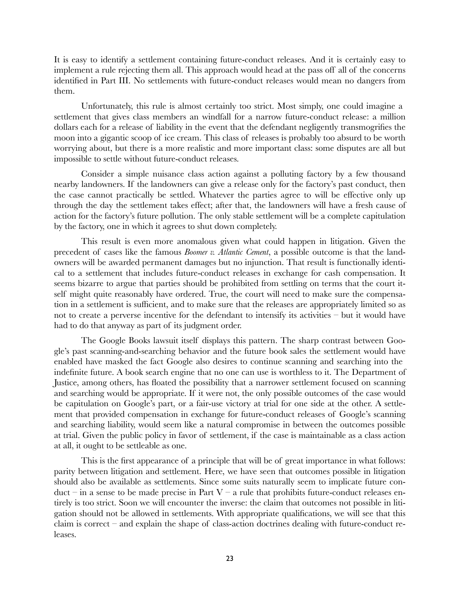It is easy to identify a settlement containing future-conduct releases. And it is certainly easy to implement a rule rejecting them all. This approach would head at the pass off all of the concerns identified in Part III. No settlements with future-conduct releases would mean no dangers from them.

Unfortunately, this rule is almost certainly too strict. Most simply, one could imagine a settlement that gives class members an windfall for a narrow future-conduct release: a million dollars each for a release of liability in the event that the defendant negligently transmogrifies the moon into a gigantic scoop of ice cream. This class of releases is probably too absurd to be worth worrying about, but there is a more realistic and more important class: some disputes are all but impossible to settle without future-conduct releases.

Consider a simple nuisance class action against a polluting factory by a few thousand nearby landowners. If the landowners can give a release only for the factory's past conduct, then the case cannot practically be settled. Whatever the parties agree to will be effective only up through the day the settlement takes effect; after that, the landowners will have a fresh cause of action for the factory's future pollution. The only stable settlement will be a complete capitulation by the factory, one in which it agrees to shut down completely.

This result is even more anomalous given what could happen in litigation. Given the precedent of cases like the famous *Boomer v. Atlantic Cement*, a possible outcome is that the landowners will be awarded permanent damages but no injunction. That result is functionally identical to a settlement that includes future-conduct releases in exchange for cash compensation. It seems bizarre to argue that parties should be prohibited from settling on terms that the court itself might quite reasonably have ordered. True, the court will need to make sure the compensation in a settlement is sufficient, and to make sure that the releases are appropriately limited so as not to create a perverse incentive for the defendant to intensify its activities – but it would have had to do that anyway as part of its judgment order.

The Google Books lawsuit itself displays this pattern. The sharp contrast between Google's past scanning-and-searching behavior and the future book sales the settlement would have enabled have masked the fact Google also desires to continue scanning and searching into the indefinite future. A book search engine that no one can use is worthless to it. The Department of Justice, among others, has floated the possibility that a narrower settlement focused on scanning and searching would be appropriate. If it were not, the only possible outcomes of the case would be capitulation on Google's part, or a fair-use victory at trial for one side at the other. A settlement that provided compensation in exchange for future-conduct releases of Google's scanning and searching liability, would seem like a natural compromise in between the outcomes possible at trial. Given the public policy in favor of settlement, if the case is maintainable as a class action at all, it ought to be settleable as one.

This is the first appearance of a principle that will be of great importance in what follows: parity between litigation and settlement. Here, we have seen that outcomes possible in litigation should also be available as settlements. Since some suits naturally seem to implicate future conduct – in a sense to be made precise in Part V – a rule that prohibits future-conduct releases entirely is too strict. Soon we will encounter the inverse: the claim that outcomes not possible in litigation should not be allowed in settlements. With appropriate qualifications, we will see that this claim is correct – and explain the shape of class-action doctrines dealing with future-conduct releases.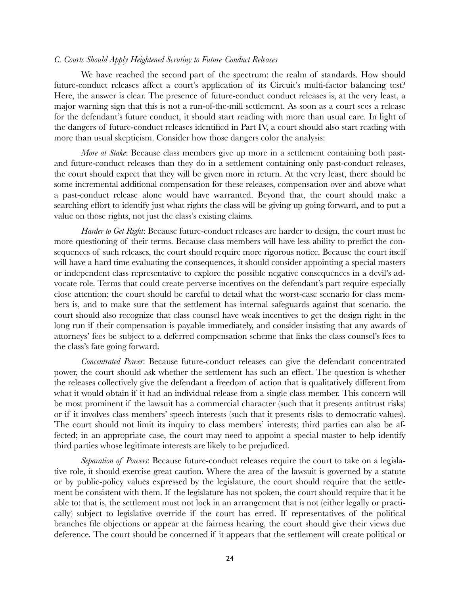### <span id="page-23-0"></span>*C. Courts Should Apply Heightened Scrutiny to Future-Conduct Releases*

We have reached the second part of the spectrum: the realm of standards. How should future-conduct releases affect a court's application of its Circuit's multi-factor balancing test? Here, the answer is clear. The presence of future-conduct conduct releases is, at the very least, a major warning sign that this is not a run-of-the-mill settlement. As soon as a court sees a release for the defendant's future conduct, it should start reading with more than usual care. In light of the dangers of future-conduct releases identified in Part IV, a court should also start reading with more than usual skepticism. Consider how those dangers color the analysis:

*More at Stake*: Because class members give up more in a settlement containing both pastand future-conduct releases than they do in a settlement containing only past-conduct releases, the court should expect that they will be given more in return. At the very least, there should be some incremental additional compensation for these releases, compensation over and above what a past-conduct release alone would have warranted. Beyond that, the court should make a searching effort to identify just what rights the class will be giving up going forward, and to put a value on those rights, not just the class's existing claims.

*Harder to Get Right*: Because future-conduct releases are harder to design, the court must be more questioning of their terms. Because class members will have less ability to predict the consequences of such releases, the court should require more rigorous notice. Because the court itself will have a hard time evaluating the consequences, it should consider appointing a special masters or independent class representative to explore the possible negative consequences in a devil's advocate role. Terms that could create perverse incentives on the defendant's part require especially close attention; the court should be careful to detail what the worst-case scenario for class members is, and to make sure that the settlement has internal safeguards against that scenario. the court should also recognize that class counsel have weak incentives to get the design right in the long run if their compensation is payable immediately, and consider insisting that any awards of attorneys' fees be subject to a deferred compensation scheme that links the class counsel's fees to the class's fate going forward.

*Concentrated Power*: Because future-conduct releases can give the defendant concentrated power, the court should ask whether the settlement has such an effect. The question is whether the releases collectively give the defendant a freedom of action that is qualitatively different from what it would obtain if it had an individual release from a single class member. This concern will be most prominent if the lawsuit has a commercial character (such that it presents antitrust risks) or if it involves class members' speech interests (such that it presents risks to democratic values). The court should not limit its inquiry to class members' interests; third parties can also be affected; in an appropriate case, the court may need to appoint a special master to help identify third parties whose legitimate interests are likely to be prejudiced.

*Separation of Powers*: Because future-conduct releases require the court to take on a legislative role, it should exercise great caution. Where the area of the lawsuit is governed by a statute or by public-policy values expressed by the legislature, the court should require that the settlement be consistent with them. If the legislature has not spoken, the court should require that it be able to: that is, the settlement must not lock in an arrangement that is not (either legally or practically) subject to legislative override if the court has erred. If representatives of the political branches file objections or appear at the fairness hearing, the court should give their views due deference. The court should be concerned if it appears that the settlement will create political or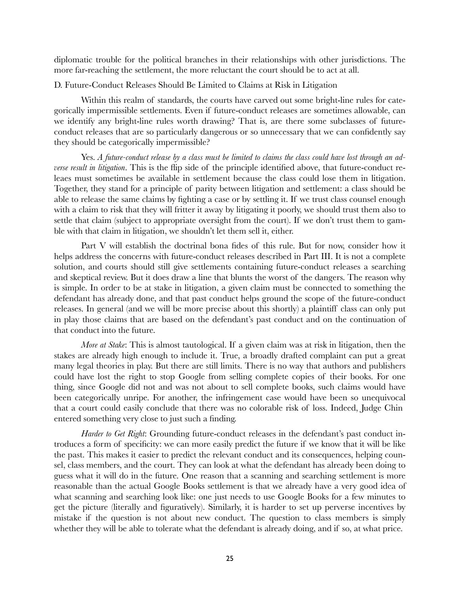diplomatic trouble for the political branches in their relationships with other jurisdictions. The more far-reaching the settlement, the more reluctant the court should be to act at all.

<span id="page-24-0"></span>D. Future-Conduct Releases Should Be Limited to Claims at Risk in Litigation

Within this realm of standards, the courts have carved out some bright-line rules for categorically impermissible settlements. Even if future-conduct releases are sometimes allowable, can we identify any bright-line rules worth drawing? That is, are there some subclasses of futureconduct releases that are so particularly dangerous or so unnecessary that we can confidently say they should be categorically impermissible?

Yes. *A future-conduct release by a class must be limited to claims the class could have lost through an adverse result in litigation*. This is the flip side of the principle identified above, that future-conduct releaes must sometimes be available in settlement because the class could lose them in litigation. Together, they stand for a principle of parity between litigation and settlement: a class should be able to release the same claims by fighting a case or by settling it. If we trust class counsel enough with a claim to risk that they will fritter it away by litigating it poorly, we should trust them also to settle that claim (subject to appropriate oversight from the court). If we don't trust them to gamble with that claim in litigation, we shouldn't let them sell it, either.

Part V will establish the doctrinal bona fides of this rule. But for now, consider how it helps address the concerns with future-conduct releases described in Part III. It is not a complete solution, and courts should still give settlements containing future-conduct releases a searching and skeptical review. But it does draw a line that blunts the worst of the dangers. The reason why is simple. In order to be at stake in litigation, a given claim must be connected to something the defendant has already done, and that past conduct helps ground the scope of the future-conduct releases. In general (and we will be more precise about this shortly) a plaintiff class can only put in play those claims that are based on the defendant's past conduct and on the continuation of that conduct into the future.

*More at Stake*: This is almost tautological. If a given claim was at risk in litigation, then the stakes are already high enough to include it. True, a broadly drafted complaint can put a great many legal theories in play. But there are still limits. There is no way that authors and publishers could have lost the right to stop Google from selling complete copies of their books. For one thing, since Google did not and was not about to sell complete books, such claims would have been categorically unripe. For another, the infringement case would have been so unequivocal that a court could easily conclude that there was no colorable risk of loss. Indeed, Judge Chin entered something very close to just such a finding.

*Harder to Get Right*: Grounding future-conduct releases in the defendant's past conduct introduces a form of specificity: we can more easily predict the future if we know that it will be like the past. This makes it easier to predict the relevant conduct and its consequences, helping counsel, class members, and the court. They can look at what the defendant has already been doing to guess what it will do in the future. One reason that a scanning and searching settlement is more reasonable than the actual Google Books settlement is that we already have a very good idea of what scanning and searching look like: one just needs to use Google Books for a few minutes to get the picture (literally and figuratively). Similarly, it is harder to set up perverse incentives by mistake if the question is not about new conduct. The question to class members is simply whether they will be able to tolerate what the defendant is already doing, and if so, at what price.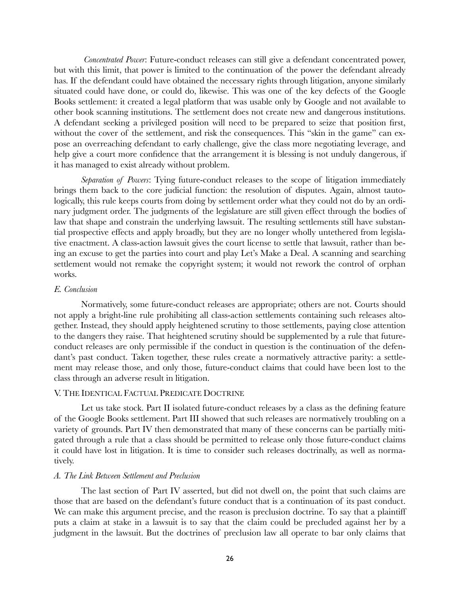*Concentrated Power*: Future-conduct releases can still give a defendant concentrated power, but with this limit, that power is limited to the continuation of the power the defendant already has. If the defendant could have obtained the necessary rights through litigation, anyone similarly situated could have done, or could do, likewise. This was one of the key defects of the Google Books settlement: it created a legal platform that was usable only by Google and not available to other book scanning institutions. The settlement does not create new and dangerous institutions. A defendant seeking a privileged position will need to be prepared to seize that position first, without the cover of the settlement, and risk the consequences. This "skin in the game" can expose an overreaching defendant to early challenge, give the class more negotiating leverage, and help give a court more confidence that the arrangement it is blessing is not unduly dangerous, if it has managed to exist already without problem.

*Separation of Powers*: Tying future-conduct releases to the scope of litigation immediately brings them back to the core judicial function: the resolution of disputes. Again, almost tautologically, this rule keeps courts from doing by settlement order what they could not do by an ordinary judgment order. The judgments of the legislature are still given effect through the bodies of law that shape and constrain the underlying lawsuit. The resulting settlements still have substantial prospective effects and apply broadly, but they are no longer wholly untethered from legislative enactment. A class-action lawsuit gives the court license to settle that lawsuit, rather than being an excuse to get the parties into court and play Let's Make a Deal. A scanning and searching settlement would not remake the copyright system; it would not rework the control of orphan works.

### <span id="page-25-0"></span>*E. Conclusion*

Normatively, some future-conduct releases are appropriate; others are not. Courts should not apply a bright-line rule prohibiting all class-action settlements containing such releases altogether. Instead, they should apply heightened scrutiny to those settlements, paying close attention to the dangers they raise. That heightened scrutiny should be supplemented by a rule that futureconduct releases are only permissible if the conduct in question is the continuation of the defendant's past conduct. Taken together, these rules create a normatively attractive parity: a settlement may release those, and only those, future-conduct claims that could have been lost to the class through an adverse result in litigation.

### <span id="page-25-1"></span>V. THE IDENTICAL FACTUAL PREDICATE DOCTRINE

Let us take stock. Part II isolated future-conduct releases by a class as the defining feature of the Google Books settlement. Part III showed that such releases are normatively troubling on a variety of grounds. Part IV then demonstrated that many of these concerns can be partially mitigated through a rule that a class should be permitted to release only those future-conduct claims it could have lost in litigation. It is time to consider such releases doctrinally, as well as normatively.

### <span id="page-25-2"></span>*A. The Link Between Settlement and Preclusion*

The last section of Part IV asserted, but did not dwell on, the point that such claims are those that are based on the defendant's future conduct that is a continuation of its past conduct. We can make this argument precise, and the reason is preclusion doctrine. To say that a plaintiff puts a claim at stake in a lawsuit is to say that the claim could be precluded against her by a judgment in the lawsuit. But the doctrines of preclusion law all operate to bar only claims that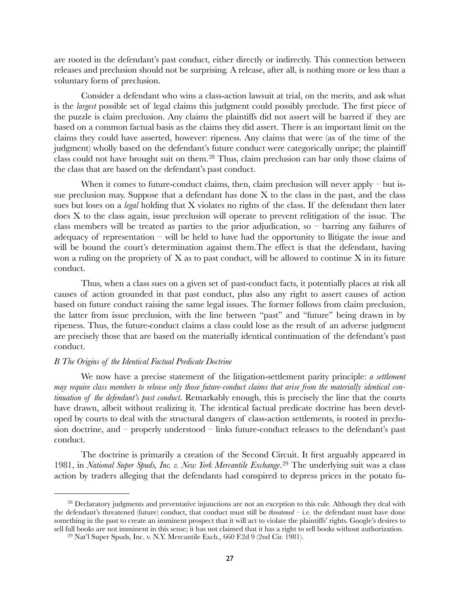are rooted in the defendant's past conduct, either directly or indirectly. This connection between releases and preclusion should not be surprising. A release, after all, is nothing more or less than a voluntary form of preclusion.

Consider a defendant who wins a class-action lawsuit at trial, on the merits, and ask what is the *largest* possible set of legal claims this judgment could possibly preclude. The first piece of the puzzle is claim preclusion. Any claims the plaintiffs did not assert will be barred if they are based on a common factual basis as the claims they did assert. There is an important limit on the claims they could have asserted, however: ripeness. Any claims that were (as of the time of the judgment) wholly based on the defendant's future conduct were categorically unripe; the plaintiff class could not have brought suit on them.[28](#page-26-1) Thus, claim preclusion can bar only those claims of the class that are based on the defendant's past conduct.

When it comes to future-conduct claims, then, claim preclusion will never apply – but issue preclusion may. Suppose that a defendant has done  $X$  to the class in the past, and the class sues but loses on a *legal* holding that X violates no rights of the class. If the defendant then later does X to the class again, issue preclusion will operate to prevent relitigation of the issue. The class members will be treated as parties to the prior adjudication, so – barring any failures of adequacy of representation – will be held to have had the opportunity to llitigate the issue and will be bound the court's determination against them. The effect is that the defendant, having won a ruling on the propriety of  $X$  as to past conduct, will be allowed to continue  $X$  in its future conduct.

Thus, when a class sues on a given set of past-conduct facts, it potentially places at risk all causes of action grounded in that past conduct, plus also any right to assert causes of action based on future conduct raising the same legal issues. The former follows from claim preclusion, the latter from issue preclusion, with the line between "past" and "future" being drawn in by ripeness. Thus, the future-conduct claims a class could lose as the result of an adverse judgment are precisely those that are based on the materially identical continuation of the defendant's past conduct.

### <span id="page-26-0"></span>*B The Origins of the Identical Factual Predicate Doctrine*

We now have a precise statement of the litigation-settlement parity principle: *a settlement may require class members to release only those future-conduct claims that arise from the materially identical continuation of the defendant's past conduct*. Remarkably enough, this is precisely the line that the courts have drawn, albeit without realizing it. The identical factual predicate doctrine has been developed by courts to deal with the structural dangers of class-action settlements, is rooted in preclusion doctrine, and – properly understood – links future-conduct releases to the defendant's past conduct.

The doctrine is primarily a creation of the Second Circuit. It first arguably appeared in 1981, in *National Super Spuds, Inc. v. New York Mercantile Exchange*. [29](#page-26-2) The underlying suit was a class action by traders alleging that the defendants had conspired to depress prices in the potato fu-

<span id="page-26-1"></span><sup>&</sup>lt;sup>28</sup> Declaratory judgments and preventative injunctions are not an exception to this rule. Although they deal with the defendant's threatened (future) conduct, that conduct must still be *threatened* – i.e. the defendant must have done something in the past to create an imminent prospect that it will act to violate the plaintiffs' rights. Google's desires to sell full books are not imminent in this sense; it has not claimed that it has a right to sell books without authorization.

<span id="page-26-2"></span> $29$  Nat'l Super Spuds, Inc. v. N.Y. Mercantile Exch., 660 F.2d 9 (2nd Cir. 1981).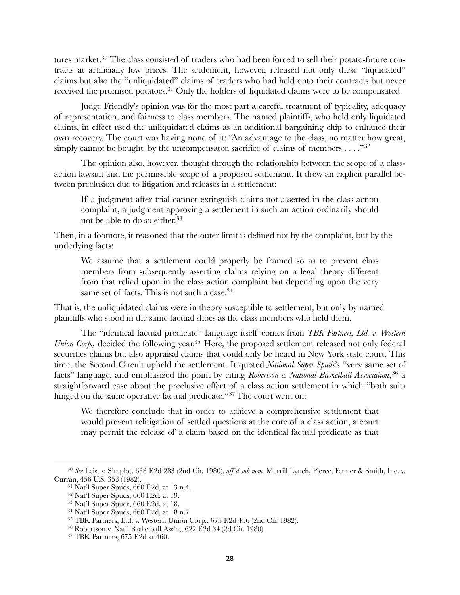tures market.<sup>30</sup> The class consisted of traders who had been forced to sell their potato-future contracts at artificially low prices. The settlement, however, released not only these "liquidated" claims but also the "unliquidated" claims of traders who had held onto their contracts but never received the promised potatoes[.31](#page-27-1) Only the holders of liquidated claims were to be compensated.

Judge Friendly's opinion was for the most part a careful treatment of typicality, adequacy of representation, and fairness to class members. The named plaintiffs, who held only liquidated claims, in effect used the unliquidated claims as an additional bargaining chip to enhance their own recovery. The court was having none of it: "An advantage to the class, no matter how great, simply cannot be bought by the uncompensated sacrifice of claims of members  $\dots$ ."<sup>[32](#page-27-2)</sup>

The opinion also, however, thought through the relationship between the scope of a classaction lawsuit and the permissible scope of a proposed settlement. It drew an explicit parallel between preclusion due to litigation and releases in a settlement:

If a judgment after trial cannot extinguish claims not asserted in the class action complaint, a judgment approving a settlement in such an action ordinarily should not be able to do so either.<sup>[33](#page-27-3)</sup>

Then, in a footnote, it reasoned that the outer limit is defined not by the complaint, but by the underlying facts:

We assume that a settlement could properly be framed so as to prevent class members from subsequently asserting claims relying on a legal theory different from that relied upon in the class action complaint but depending upon the very same set of facts. This is not such a case.<sup>34</sup>

That is, the unliquidated claims were in theory susceptible to settlement, but only by named plaintiffs who stood in the same factual shoes as the class members who held them.

The "identical factual predicate" language itself comes from *TBK Partners, Ltd. v. Western Union Corp.*, decided the following year.<sup>35</sup> Here, the proposed settlement released not only federal securities claims but also appraisal claims that could only be heard in New York state court. This time, the Second Circuit upheld the settlement. It quoted *National Super Spuds*'s "very same set of facts" language, and emphasized the point by citing *Robertson v. National Basketball Association*,[36](#page-27-6) a straightforward case about the preclusive effect of a class action settlement in which "both suits hinged on the same operative factual predicate."<sup>[37](#page-27-7)</sup> The court went on:

We therefore conclude that in order to achieve a comprehensive settlement that would prevent relitigation of settled questions at the core of a class action, a court may permit the release of a claim based on the identical factual predicate as that

<span id="page-27-0"></span><sup>30</sup> *See* Leist v. Simplot, 638 F.2d 283 (2nd Cir. 1980), *aff'd sub nom.* Merrill Lynch, Pierce, Fenner & Smith, Inc. v. Curran, 456 U.S. 353 (1982).

<span id="page-27-1"></span><sup>31</sup> Nat'l Super Spuds, 660 F.2d, at 13 n.4.

<span id="page-27-2"></span> $32$  Nat'l Super Spuds, 660 F.2d, at 19.

<span id="page-27-3"></span><sup>33</sup> Nat'l Super Spuds, 660 F.2d, at 18.

<span id="page-27-4"></span><sup>34</sup> Nat'l Super Spuds, 660 F.2d, at 18 n.7

<span id="page-27-5"></span><sup>35</sup> TBK Partners, Ltd. v. Western Union Corp., 675 F.2d 456 (2nd Cir. 1982).

<span id="page-27-6"></span><sup>36</sup> Robertson v. Nat'l Basketball Ass'n,, 622 F.2d 34 (2d Cir. 1980).

<span id="page-27-7"></span><sup>37</sup> TBK Partners, 675 F.2d at 460.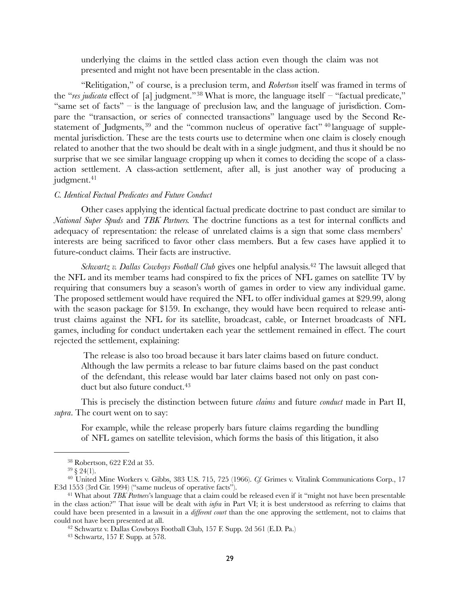underlying the claims in the settled class action even though the claim was not presented and might not have been presentable in the class action.

"Relitigation," of course, is a preclusion term, and *Robertson* itself was framed in terms of the "*res judicata* effect of [a] judgment."[38](#page-28-1) What is more, the language itself – "factual predicate," "same set of facts" – is the language of preclusion law, and the language of jurisdiction. Compare the "transaction, or series of connected transactions" language used by the Second Restatement of Judgments,  $39$  and the "common nucleus of operative fact"  $40$  language of supplemental jurisdiction. These are the tests courts use to determine when one claim is closely enough related to another that the two should be dealt with in a single judgment, and thus it should be no surprise that we see similar language cropping up when it comes to deciding the scope of a classaction settlement. A class-action settlement, after all, is just another way of producing a judgment.<sup>[41](#page-28-4)</sup>

### <span id="page-28-0"></span>*C. Identical Factual Predicates and Future Conduct*

Other cases applying the identical factual predicate doctrine to past conduct are similar to *National Super Spuds* and *TBK Partners.* The doctrine functions as a test for internal conflicts and adequacy of representation: the release of unrelated claims is a sign that some class members' interests are being sacrificed to favor other class members. But a few cases have applied it to future-conduct claims. Their facts are instructive.

*Schwartz v. Dallas Cowboys Football Club* gives one helpful analysis[.42](#page-28-5) The lawsuit alleged that the NFL and its member teams had conspired to fix the prices of NFL games on satellite TV by requiring that consumers buy a season's worth of games in order to view any individual game. The proposed settlement would have required the NFL to offer individual games at \$29.99, along with the season package for \$159. In exchange, they would have been required to release antitrust claims against the NFL for its satellite, broadcast, cable, or Internet broadcasts of NFL games, including for conduct undertaken each year the settlement remained in effect. The court rejected the settlement, explaining:

 The release is also too broad because it bars later claims based on future conduct. Although the law permits a release to bar future claims based on the past conduct of the defendant, this release would bar later claims based not only on past con-duct but also future conduct.<sup>[43](#page-28-6)</sup>

This is precisely the distinction between future *claims* and future *conduct* made in Part II, *supra*. The court went on to say:

For example, while the release properly bars future claims regarding the bundling of NFL games on satellite television, which forms the basis of this litigation, it also

<span id="page-28-1"></span><sup>38</sup> Robertson, 622 F.2d at 35.

<span id="page-28-3"></span><span id="page-28-2"></span> $39 \; \S \; 24(1)$ .

<sup>40</sup> United Mine Workers v. Gibbs, 383 U.S. 715, 725 (1966). *Cf.* Grimes v. Vitalink Communications Corp., 17 F.3d 1553 (3rd Cir. 1994) ("same nucleus of operative facts").

<span id="page-28-4"></span><sup>41</sup> What about *TBK Partners*'s language that a claim could be released even if it "might not have been presentable in the class action?" That issue will be dealt with *infra* in Part VI; it is best understood as referring to claims that could have been presented in a lawsuit in a *different court* than the one approving the settlement, not to claims that could not have been presented at all.

<span id="page-28-5"></span><sup>42</sup> Schwartz v. Dallas Cowboys Football Club, 157 F. Supp. 2d 561 (E.D. Pa.)

<span id="page-28-6"></span><sup>43</sup> Schwartz, 157 F. Supp. at 578.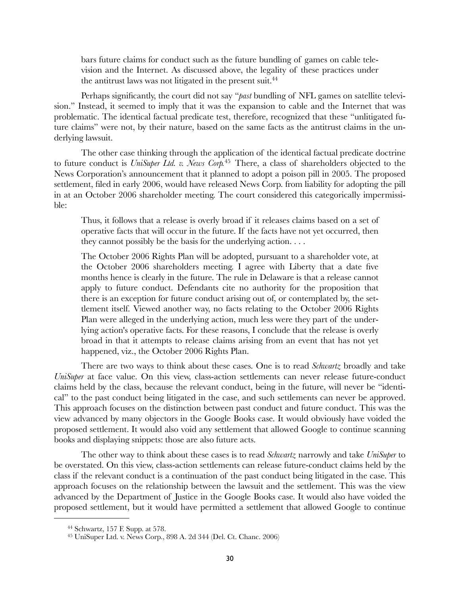bars future claims for conduct such as the future bundling of games on cable television and the Internet. As discussed above, the legality of these practices under the antitrust laws was not litigated in the present suit.<sup>44</sup>

Perhaps significantly, the court did not say "*past* bundling of NFL games on satellite television." Instead, it seemed to imply that it was the expansion to cable and the Internet that was problematic. The identical factual predicate test, therefore, recognized that these "unlitigated future claims" were not, by their nature, based on the same facts as the antitrust claims in the underlying lawsuit.

The other case thinking through the application of the identical factual predicate doctrine to future conduct is *UniSuper Ltd. v. News Corp.*[45](#page-29-1) There, a class of shareholders objected to the News Corporation's announcement that it planned to adopt a poison pill in 2005. The proposed settlement, filed in early 2006, would have released News Corp. from liability for adopting the pill in at an October 2006 shareholder meeting. The court considered this categorically impermissible:

Thus, it follows that a release is overly broad if it releases claims based on a set of operative facts that will occur in the future. If the facts have not yet occurred, then they cannot possibly be the basis for the underlying action. . . .

The October 2006 Rights Plan will be adopted, pursuant to a shareholder vote, at the October 2006 shareholders meeting. I agree with Liberty that a date five months hence is clearly in the future. The rule in Delaware is that a release cannot apply to future conduct. Defendants cite no authority for the proposition that there is an exception for future conduct arising out of, or contemplated by, the settlement itself. Viewed another way, no facts relating to the October 2006 Rights Plan were alleged in the underlying action, much less were they part of the underlying action's operative facts. For these reasons, I conclude that the release is overly broad in that it attempts to release claims arising from an event that has not yet happened, viz., the October 2006 Rights Plan.

There are two ways to think about these cases. One is to read *Schwartz* broadly and take *UniSuper* at face value. On this view, class-action settlements can never release future-conduct claims held by the class, because the relevant conduct, being in the future, will never be "identical" to the past conduct being litigated in the case, and such settlements can never be approved. This approach focuses on the distinction between past conduct and future conduct. This was the view advanced by many objectors in the Google Books case. It would obviously have voided the proposed settlement. It would also void any settlement that allowed Google to continue scanning books and displaying snippets: those are also future acts.

The other way to think about these cases is to read *Schwartz* narrowly and take *UniSuper* to be overstated. On this view, class-action settlements can release future-conduct claims held by the class if the relevant conduct is a continuation of the past conduct being litigated in the case. This approach focuses on the relationship between the lawsuit and the settlement. This was the view advanced by the Department of Justice in the Google Books case. It would also have voided the proposed settlement, but it would have permitted a settlement that allowed Google to continue

<span id="page-29-0"></span><sup>44</sup> Schwartz, 157 F. Supp. at 578.

<span id="page-29-1"></span><sup>45</sup> UniSuper Ltd. v. News Corp., 898 A. 2d 344 (Del. Ct. Chanc. 2006)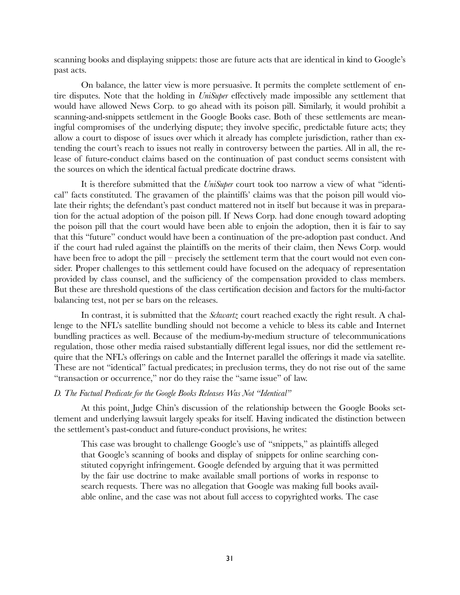scanning books and displaying snippets: those are future acts that are identical in kind to Google's past acts.

On balance, the latter view is more persuasive. It permits the complete settlement of entire disputes. Note that the holding in *UniSuper* effectively made impossible any settlement that would have allowed News Corp. to go ahead with its poison pill. Similarly, it would prohibit a scanning-and-snippets settlement in the Google Books case. Both of these settlements are meaningful compromises of the underlying dispute; they involve specific, predictable future acts; they allow a court to dispose of issues over which it already has complete jurisdiction, rather than extending the court's reach to issues not really in controversy between the parties. All in all, the release of future-conduct claims based on the continuation of past conduct seems consistent with the sources on which the identical factual predicate doctrine draws.

It is therefore submitted that the *UniSuper* court took too narrow a view of what "identical" facts constituted. The gravamen of the plaintiffs' claims was that the poison pill would violate their rights; the defendant's past conduct mattered not in itself but because it was in preparation for the actual adoption of the poison pill. If News Corp. had done enough toward adopting the poison pill that the court would have been able to enjoin the adoption, then it is fair to say that this "future" conduct would have been a continuation of the pre-adoption past conduct. And if the court had ruled against the plaintiffs on the merits of their claim, then News Corp. would have been free to adopt the pill – precisely the settlement term that the court would not even consider. Proper challenges to this settlement could have focused on the adequacy of representation provided by class counsel, and the sufficiency of the compensation provided to class members. But these are threshold questions of the class certification decision and factors for the multi-factor balancing test, not per se bars on the releases.

In contrast, it is submitted that the *Schwartz* court reached exactly the right result. A challenge to the NFL's satellite bundling should not become a vehicle to bless its cable and Internet bundling practices as well. Because of the medium-by-medium structure of telecommunications regulation, those other media raised substantially different legal issues, nor did the settlement require that the NFL's offerings on cable and the Internet parallel the offerings it made via satellite. These are not "identical" factual predicates; in preclusion terms, they do not rise out of the same "transaction or occurrence," nor do they raise the "same issue" of law.

### <span id="page-30-0"></span>*D. The Factual Predicate for the Google Books Releases Was Not "Identical"*

At this point, Judge Chin's discussion of the relationship between the Google Books settlement and underlying lawsuit largely speaks for itself. Having indicated the distinction between the settlement's past-conduct and future-conduct provisions, he writes:

This case was brought to challenge Google's use of "snippets," as plaintiffs alleged that Google's scanning of books and display of snippets for online searching constituted copyright infringement. Google defended by arguing that it was permitted by the fair use doctrine to make available small portions of works in response to search requests. There was no allegation that Google was making full books available online, and the case was not about full access to copyrighted works. The case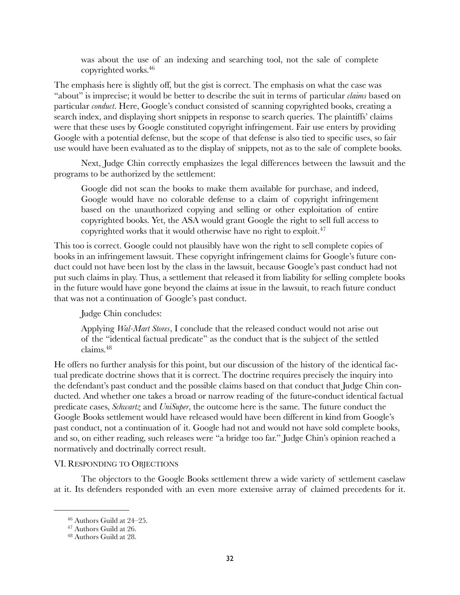was about the use of an indexing and searching tool, not the sale of complete copyrighted works[.46](#page-31-1)

The emphasis here is slightly off, but the gist is correct. The emphasis on what the case was "about" is imprecise; it would be better to describe the suit in terms of particular *claims* based on particular *conduct*. Here, Google's conduct consisted of scanning copyrighted books, creating a search index, and displaying short snippets in response to search queries. The plaintiffs' claims were that these uses by Google constituted copyright infringement. Fair use enters by providing Google with a potential defense, but the scope of that defense is also tied to specific uses, so fair use would have been evaluated as to the display of snippets, not as to the sale of complete books.

Next, Judge Chin correctly emphasizes the legal differences between the lawsuit and the programs to be authorized by the settlement:

Google did not scan the books to make them available for purchase, and indeed, Google would have no colorable defense to a claim of copyright infringement based on the unauthorized copying and selling or other exploitation of entire copyrighted books. Yet, the ASA would grant Google the right to sell full access to copyrighted works that it would otherwise have no right to exploit.[47](#page-31-2)

This too is correct. Google could not plausibly have won the right to sell complete copies of books in an infringement lawsuit. These copyright infringement claims for Google's future conduct could not have been lost by the class in the lawsuit, because Google's past conduct had not put such claims in play. Thus, a settlement that released it from liability for selling complete books in the future would have gone beyond the claims at issue in the lawsuit, to reach future conduct that was not a continuation of Google's past conduct.

Judge Chin concludes:

Applying *Wal-Mart Stores*, I conclude that the released conduct would not arise out of the "identical factual predicate" as the conduct that is the subject of the settled claims[.48](#page-31-3)

He offers no further analysis for this point, but our discussion of the history of the identical factual predicate doctrine shows that it is correct. The doctrine requires precisely the inquiry into the defendant's past conduct and the possible claims based on that conduct that Judge Chin conducted. And whether one takes a broad or narrow reading of the future-conduct identical factual predicate cases, *Schwartz* and *UniSuper*, the outcome here is the same. The future conduct the Google Books settlement would have released would have been different in kind from Google's past conduct, not a continuation of it. Google had not and would not have sold complete books, and so, on either reading, such releases were "a bridge too far." Judge Chin's opinion reached a normatively and doctrinally correct result.

### <span id="page-31-0"></span>VI. RESPONDING TO OBJECTIONS

The objectors to the Google Books settlement threw a wide variety of settlement caselaw at it. Its defenders responded with an even more extensive array of claimed precedents for it.

<span id="page-31-1"></span><sup>46</sup> Authors Guild at 24–25.

<span id="page-31-2"></span><sup>47</sup> Authors Guild at 26.

<span id="page-31-3"></span><sup>48</sup> Authors Guild at 28.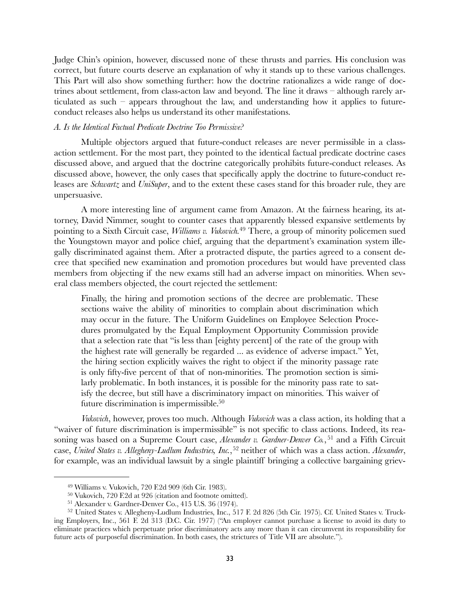Judge Chin's opinion, however, discussed none of these thrusts and parries. His conclusion was correct, but future courts deserve an explanation of why it stands up to these various challenges. This Part will also show something further: how the doctrine rationalizes a wide range of doctrines about settlement, from class-acton law and beyond. The line it draws – although rarely articulated as such – appears throughout the law, and understanding how it applies to futureconduct releases also helps us understand its other manifestations.

### <span id="page-32-0"></span>*A. Is the Identical Factual Predicate Doctrine Too Permissive?*

Multiple objectors argued that future-conduct releases are never permissible in a classaction settlement. For the most part, they pointed to the identical factual predicate doctrine cases discussed above, and argued that the doctrine categorically prohibits future-conduct releases. As discussed above, however, the only cases that specifically apply the doctrine to future-conduct releases are *Schwartz* and *UniSuper*, and to the extent these cases stand for this broader rule, they are unpersuasive.

A more interesting line of argument came from Amazon. At the fairness hearing, its attorney, David Nimmer, sought to counter cases that apparently blessed expansive settlements by pointing to a Sixth Circuit case, *Williams v. Vukovich.*[49](#page-32-1) There, a group of minority policemen sued the Youngstown mayor and police chief, arguing that the department's examination system illegally discriminated against them. After a protracted dispute, the parties agreed to a consent decree that specified new examination and promotion procedures but would have prevented class members from objecting if the new exams still had an adverse impact on minorities. When several class members objected, the court rejected the settlement:

Finally, the hiring and promotion sections of the decree are problematic. These sections waive the ability of minorities to complain about discrimination which may occur in the future. The Uniform Guidelines on Employee Selection Procedures promulgated by the Equal Employment Opportunity Commission provide that a selection rate that "is less than [eighty percent] of the rate of the group with the highest rate will generally be regarded ... as evidence of adverse impact." Yet, the hiring section explicitly waives the right to object if the minority passage rate is only fifty-five percent of that of non-minorities. The promotion section is similarly problematic. In both instances, it is possible for the minority pass rate to satisfy the decree, but still have a discriminatory impact on minorities. This waiver of future discrimination is impermissible[.50](#page-32-2)

*Vukovich*, however, proves too much. Although *Vukovich* was a class action, its holding that a "waiver of future discrimination is impermissible" is not specific to class actions. Indeed, its reasoning was based on a Supreme Court case, *Alexander v. Gardner-Denver Co.*,<sup>[51](#page-32-3)</sup> and a Fifth Circuit case, *United States v. Allegheny-Ludlum Industries, Inc.*,[52](#page-32-4) neither of which was a class action. *Alexander*, for example, was an individual lawsuit by a single plaintiff bringing a collective bargaining griev-

<span id="page-32-1"></span><sup>49</sup> Williams v. Vukovich, 720 F.2d 909 (6th Cir. 1983).

<span id="page-32-2"></span><sup>50</sup> Vukovich, 720 F.2d at 926 (citation and footnote omitted).

<span id="page-32-4"></span><span id="page-32-3"></span><sup>51</sup> Alexander v. Gardner-Denver Co., 415 U.S. 36 (1974).

<sup>52</sup> United States v. Allegheny-Ludlum Industries, Inc., 517 F. 2d 826 (5th Cir. 1975). Cf. United States v. Trucking Employers, Inc., 561 F. 2d 313 (D.C. Cir. 1977) ("An employer cannot purchase a license to avoid its duty to eliminate practices which perpetuate prior discriminatory acts any more than it can circumvent its responsibility for future acts of purposeful discrimination. In both cases, the strictures of Title VII are absolute.").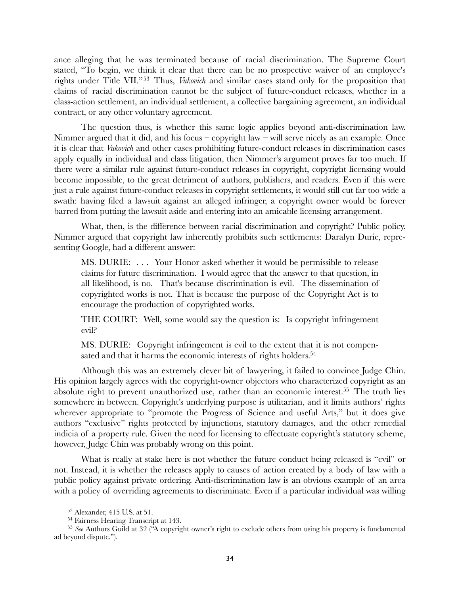ance alleging that he was terminated because of racial discrimination. The Supreme Court stated, "To begin, we think it clear that there can be no prospective waiver of an employee's rights under Title VII."[53](#page-33-0) Thus, *Vukovich* and similar cases stand only for the proposition that claims of racial discrimination cannot be the subject of future-conduct releases, whether in a class-action settlement, an individual settlement, a collective bargaining agreement, an individual contract, or any other voluntary agreement.

The question thus, is whether this same logic applies beyond anti-discrimination law. Nimmer argued that it did, and his focus – copyright law – will serve nicely as an example. Once it is clear that *Vukovich* and other cases prohibiting future-conduct releases in discrimination cases apply equally in individual and class litigation, then Nimmer's argument proves far too much. If there were a similar rule against future-conduct releases in copyright, copyright licensing would become impossible, to the great detriment of authors, publishers, and readers. Even if this were just a rule against future-conduct releases in copyright settlements, it would still cut far too wide a swath: having filed a lawsuit against an alleged infringer, a copyright owner would be forever barred from putting the lawsuit aside and entering into an amicable licensing arrangement.

What, then, is the difference between racial discrimination and copyright? Public policy. Nimmer argued that copyright law inherently prohibits such settlements: Daralyn Durie, representing Google, had a different answer:

MS. DURIE: . . . Your Honor asked whether it would be permissible to release claims for future discrimination. I would agree that the answer to that question, in all likelihood, is no. That's because discrimination is evil. The dissemination of copyrighted works is not. That is because the purpose of the Copyright Act is to encourage the production of copyrighted works.

THE COURT: Well, some would say the question is: Is copyright infringement evil?

MS. DURIE: Copyright infringement is evil to the extent that it is not compensated and that it harms the economic interests of rights holders.<sup>54</sup>

Although this was an extremely clever bit of lawyering, it failed to convince Judge Chin. His opinion largely agrees with the copyright-owner objectors who characterized copyright as an absolute right to prevent unauthorized use, rather than an economic interest.<sup>55</sup> The truth lies somewhere in between. Copyright's underlying purpose is utilitarian, and it limits authors' rights wherever appropriate to "promote the Progress of Science and useful Arts," but it does give authors "exclusive" rights protected by injunctions, statutory damages, and the other remedial indicia of a property rule. Given the need for licensing to effectuate copyright's statutory scheme, however, Judge Chin was probably wrong on this point.

What is really at stake here is not whether the future conduct being released is "evil" or not. Instead, it is whether the releases apply to causes of action created by a body of law with a public policy against private ordering. Anti-discrimination law is an obvious example of an area with a policy of overriding agreements to discriminate. Even if a particular individual was willing

<span id="page-33-0"></span><sup>53</sup> Alexander, 415 U.S. at 51.

<span id="page-33-2"></span><span id="page-33-1"></span><sup>54</sup> Fairness Hearing Transcript at 143.

<sup>55</sup> *See* Authors Guild at 32 ("A copyright owner's right to exclude others from using his property is fundamental ad beyond dispute.").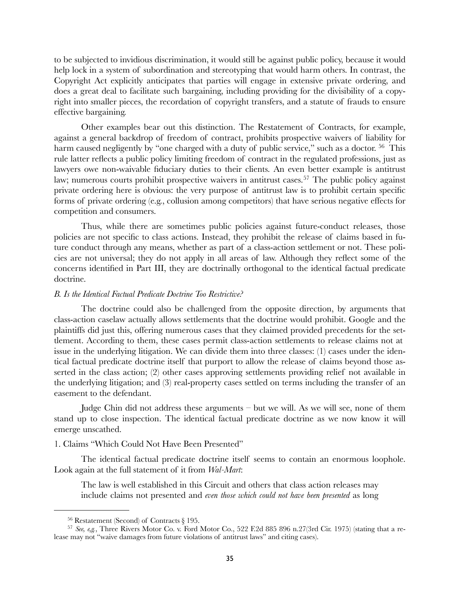to be subjected to invidious discrimination, it would still be against public policy, because it would help lock in a system of subordination and stereotyping that would harm others. In contrast, the Copyright Act explicitly anticipates that parties will engage in extensive private ordering, and does a great deal to facilitate such bargaining, including providing for the divisibility of a copyright into smaller pieces, the recordation of copyright transfers, and a statute of frauds to ensure effective bargaining.

Other examples bear out this distinction. The Restatement of Contracts, for example, against a general backdrop of freedom of contract, prohibits prospective waivers of liability for harm caused negligently by "one charged with a duty of public service," such as a doctor. <sup>[56](#page-34-2)</sup> This rule latter reflects a public policy limiting freedom of contract in the regulated professions, just as lawyers owe non-waivable fiduciary duties to their clients. An even better example is antitrust law; numerous courts prohibit prospective waivers in antitrust cases.<sup>[57](#page-34-3)</sup> The public policy against private ordering here is obvious: the very purpose of antitrust law is to prohibit certain specific forms of private ordering (e.g., collusion among competitors) that have serious negative effects for competition and consumers.

Thus, while there are sometimes public policies against future-conduct releases, those policies are not specific to class actions. Instead, they prohibit the release of claims based in future conduct through any means, whether as part of a class-action settlement or not. These policies are not universal; they do not apply in all areas of law. Although they reflect some of the concerns identified in Part III, they are doctrinally orthogonal to the identical factual predicate doctrine.

### <span id="page-34-0"></span>*B. Is the Identical Factual Predicate Doctrine Too Restrictive?*

The doctrine could also be challenged from the opposite direction, by arguments that class-action caselaw actually allows settlements that the doctrine would prohibit. Google and the plaintiffs did just this, offering numerous cases that they claimed provided precedents for the settlement. According to them, these cases permit class-action settlements to release claims not at issue in the underlying litigation. We can divide them into three classes: (1) cases under the identical factual predicate doctrine itself that purport to allow the release of claims beyond those asserted in the class action; (2) other cases approving settlements providing relief not available in the underlying litigation; and (3) real-property cases settled on terms including the transfer of an easement to the defendant.

Judge Chin did not address these arguments  $-$  but we will. As we will see, none of them stand up to close inspection. The identical factual predicate doctrine as we now know it will emerge unscathed.

# <span id="page-34-1"></span>1. Claims "Which Could Not Have Been Presented"

The identical factual predicate doctrine itself seems to contain an enormous loophole. Look again at the full statement of it from *Wal-Mart*:

The law is well established in this Circuit and others that class action releases may include claims not presented and *even those which could not have been presented* as long

<span id="page-34-3"></span><span id="page-34-2"></span><sup>56</sup> Restatement (Second) of Contracts § 195.

<sup>57</sup> *See, e,g.*, Three Rivers Motor Co. v. Ford Motor Co., 522 F.2d 885 896 n.27(3rd Cir. 1975) (stating that a release may not "waive damages from future violations of antitrust laws" and citing cases).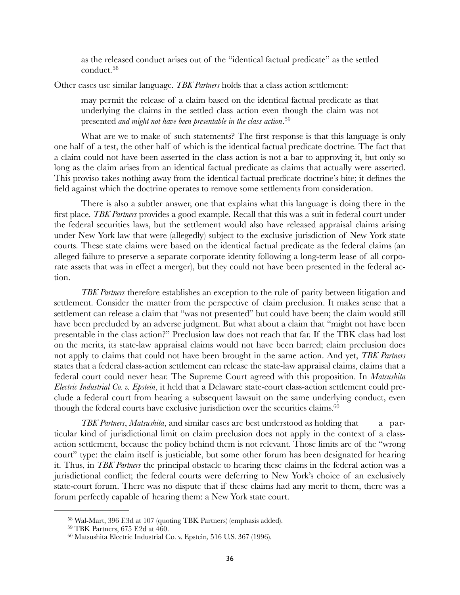as the released conduct arises out of the "identical factual predicate" as the settled conduct.[58](#page-35-0)

Other cases use similar language. *TBK Partners* holds that a class action settlement:

may permit the release of a claim based on the identical factual predicate as that underlying the claims in the settled class action even though the claim was not presented *and might not have been presentable in the class action*. [59](#page-35-1)

What are we to make of such statements? The first response is that this language is only one half of a test, the other half of which is the identical factual predicate doctrine. The fact that a claim could not have been asserted in the class action is not a bar to approving it, but only so long as the claim arises from an identical factual predicate as claims that actually were asserted. This proviso takes nothing away from the identical factual predicate doctrine's bite; it defines the field against which the doctrine operates to remove some settlements from consideration.

There is also a subtler answer, one that explains what this language is doing there in the first place. *TBK Partners* provides a good example. Recall that this was a suit in federal court under the federal securities laws, but the settlement would also have released appraisal claims arising under New York law that were (allegedly) subject to the exclusive jurisdiction of New York state courts. These state claims were based on the identical factual predicate as the federal claims (an alleged failure to preserve a separate corporate identity following a long-term lease of all corporate assets that was in effect a merger), but they could not have been presented in the federal action.

*TBK Partners* therefore establishes an exception to the rule of parity between litigation and settlement. Consider the matter from the perspective of claim preclusion. It makes sense that a settlement can release a claim that "was not presented" but could have been; the claim would still have been precluded by an adverse judgment. But what about a claim that "might not have been presentable in the class action?" Preclusion law does not reach that far. If the TBK class had lost on the merits, its state-law appraisal claims would not have been barred; claim preclusion does not apply to claims that could not have been brought in the same action. And yet, *TBK Partners* states that a federal class-action settlement can release the state-law appraisal claims, claims that a federal court could never hear. The Supreme Court agreed with this proposition. In *Matsushita Electric Industrial Co. v. Epstein*, it held that a Delaware state-court class-action settlement could preclude a federal court from hearing a subsequent lawsuit on the same underlying conduct, even though the federal courts have exclusive jurisdiction over the securities claims.<sup>60</sup>

*TBK Partners*, *Matsushita*, and similar cases are best understood as holding that a particular kind of jurisdictional limit on claim preclusion does not apply in the context of a classaction settlement, because the policy behind them is not relevant. Those limits are of the "wrong court" type: the claim itself is justiciable, but some other forum has been designated for hearing it. Thus, in *TBK Partners* the principal obstacle to hearing these claims in the federal action was a jurisdictional conflict; the federal courts were deferring to New York's choice of an exclusively state-court forum. There was no dispute that if these claims had any merit to them, there was a forum perfectly capable of hearing them: a New York state court.

<span id="page-35-0"></span><sup>58</sup> Wal-Mart, 396 F.3d at 107 (quoting TBK Partners) (emphasis added).

<span id="page-35-1"></span><sup>59</sup> TBK Partners, 675 F.2d at 460.

<span id="page-35-2"></span><sup>60</sup> Matsushita Electric Industrial Co. v. Epstein*,* 516 U.S. 367 (1996).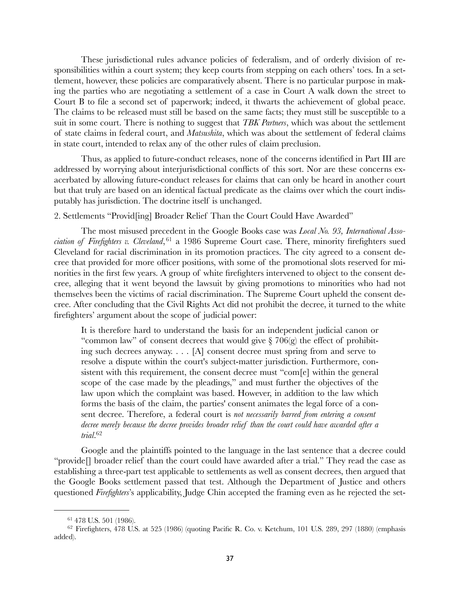These jurisdictional rules advance policies of federalism, and of orderly division of responsibilities within a court system; they keep courts from stepping on each others' toes. In a settlement, however, these policies are comparatively absent. There is no particular purpose in making the parties who are negotiating a settlement of a case in Court A walk down the street to Court B to file a second set of paperwork; indeed, it thwarts the achievement of global peace. The claims to be released must still be based on the same facts; they must still be susceptible to a suit in some court. There is nothing to suggest that *TBK Partners*, which was about the settlement of state claims in federal court, and *Matsushita*, which was about the settlement of federal claims in state court, intended to relax any of the other rules of claim preclusion.

Thus, as applied to future-conduct releases, none of the concerns identified in Part III are addressed by worrying about interjurisdictional conflicts of this sort. Nor are these concerns exacerbated by allowing future-conduct releases for claims that can only be heard in another court but that truly are based on an identical factual predicate as the claims over which the court indisputably has jurisdiction. The doctrine itself is unchanged.

<span id="page-36-0"></span>2. Settlements "Provid[ing] Broader Relief Than the Court Could Have Awarded"

The most misused precedent in the Google Books case was *Local No. 93, International Association of Firefighters v. Cleveland*, [61](#page-36-1) a 1986 Supreme Court case. There, minority firefighters sued Cleveland for racial discrimination in its promotion practices. The city agreed to a consent decree that provided for more officer positions, with some of the promotional slots reserved for minorities in the first few years. A group of white firefighters intervened to object to the consent decree, alleging that it went beyond the lawsuit by giving promotions to minorities who had not themselves been the victims of racial discrimination. The Supreme Court upheld the consent decree. After concluding that the Civil Rights Act did not prohibit the decree, it turned to the white firefighters' argument about the scope of judicial power:

It is therefore hard to understand the basis for an independent judicial canon or "common law" of consent decrees that would give  $\S$  706(g) the effect of prohibiting such decrees anyway. . . . [A] consent decree must spring from and serve to resolve a dispute within the court's subject-matter jurisdiction. Furthermore, consistent with this requirement, the consent decree must "com[e] within the general scope of the case made by the pleadings," and must further the objectives of the law upon which the complaint was based. However, in addition to the law which forms the basis of the claim, the parties' consent animates the legal force of a consent decree. Therefore, a federal court is *not necessarily barred from entering a consent decree merely because the decree provides broader relief than the court could have awarded after a trial*. [62](#page-36-2)

Google and the plaintiffs pointed to the language in the last sentence that a decree could "provide[] broader relief than the court could have awarded after a trial." They read the case as establishing a three-part test applicable to settlements as well as consent decrees, then argued that the Google Books settlement passed that test. Although the Department of Justice and others questioned *Firefighters*'s applicability, Judge Chin accepted the framing even as he rejected the set-

<span id="page-36-2"></span><span id="page-36-1"></span><sup>61 478</sup> U.S. 501 (1986).

 $62$  Firefighters, 478 U.S. at 525 (1986) (quoting Pacific R. Co. v. Ketchum, 101 U.S. 289, 297 (1880) (emphasis added).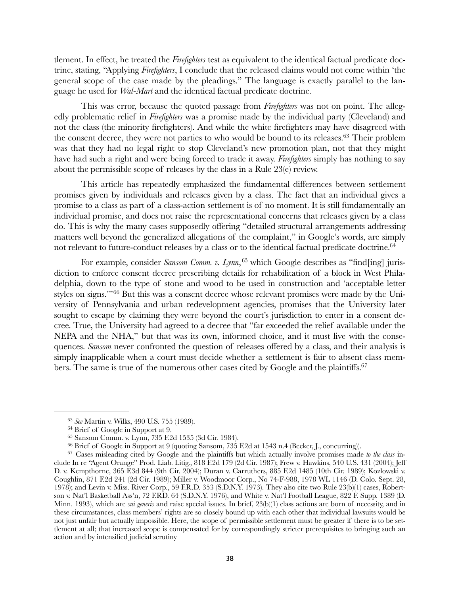tlement. In effect, he treated the *Firefighters* test as equivalent to the identical factual predicate doctrine, stating, "Applying *Firefighters*, I conclude that the released claims would not come within 'the general scope of the case made by the pleadings." The language is exactly parallel to the language he used for *Wal-Mart* and the identical factual predicate doctrine.

This was error, because the quoted passage from *Firefighters* was not on point. The allegedly problematic relief in *Firefighters* was a promise made by the individual party (Cleveland) and not the class (the minority firefighters). And while the white firefighters may have disagreed with the consent decree, they were not parties to who would be bound to its releases.<sup>63</sup> Their problem was that they had no legal right to stop Cleveland's new promotion plan, not that they might have had such a right and were being forced to trade it away. *Firefighters* simply has nothing to say about the permissible scope of releases by the class in a Rule 23(e) review.

This article has repeatedly emphasized the fundamental differences between settlement promises given by individuals and releases given by a class. The fact that an individual gives a promise to a class as part of a class-action settlement is of no moment. It is still fundamentally an individual promise, and does not raise the representational concerns that releases given by a class do. This is why the many cases supposedly offering "detailed structural arrangements addressing matters well beyond the generalized allegations of the complaint," in Google's words, are simply not relevant to future-conduct releases by a class or to the identical factual predicate doctrine.<sup>64</sup>

For example, consider *Sansom Comm. v. Lynn*, <sup>[65](#page-37-2)</sup> which Google describes as "find[ing] jurisdiction to enforce consent decree prescribing details for rehabilitation of a block in West Philadelphia, down to the type of stone and wood to be used in construction and 'acceptable letter styles on signs.'"[66](#page-37-3) But this was a consent decree whose relevant promises were made by the University of Pennsylvania and urban redevelopment agencies, promises that the University later sought to escape by claiming they were beyond the court's jurisdiction to enter in a consent decree. True, the University had agreed to a decree that "far exceeded the relief available under the NEPA and the NHA," but that was its own, informed choice, and it must live with the consequences. *Sansom* never confronted the question of releases offered by a class, and their analysis is simply inapplicable when a court must decide whether a settlement is fair to absent class members. The same is true of the numerous other cases cited by Google and the plaintiffs.<sup>67</sup>

<span id="page-37-0"></span><sup>63</sup> *See* Martin v. Wilks, 490 U.S. 755 (1989).

<span id="page-37-1"></span><sup>64</sup> Brief of Google in Support at 9.

<span id="page-37-2"></span><sup>65</sup> Sansom Comm. v. Lynn, 735 F.2d 1535 (3d Cir. 1984).

<span id="page-37-4"></span><span id="page-37-3"></span><sup>66</sup> Brief of Google in Support at 9 (quoting Sansom, 735 F.2d at 1543 n.4 (Becker, J., concurring)).

<sup>67</sup> Cases misleading cited by Google and the plaintiffs but which actually involve promises made *to the class* include In re "Agent Orange" Prod. Liab. Litig., 818 F.2d 179 (2d Cir. 1987); Frew v. Hawkins, 540 U.S. 431 (2004); Jeff D. v. Kempthorne, 365 F.3d 844 (9th Cir. 2004); Duran v. Carruthers, 885 F.2d 1485 (10th Cir. 1989); Kozlowski v. Coughlin, 871 F.2d 241 (2d Cir. 1989); Miller v. Woodmoor Corp., No 74-F-988, 1978 WL 1146 (D. Colo. Sept. 28, 1978); and Levin v. Miss. River Corp., 59 F.R.D. 353 (S.D.N.Y. 1973). They also cite two Rule 23(b)(1) cases, Robertson v. Nat'l Basketball Ass'n, 72 F.RD. 64 (S.D.N.Y. 1976), and White v. Nat'l Football League, 822 F. Supp. 1389 (D. Minn. 1993), which are *sui generis* and raise special issues. In brief, 23(b)(1) class actions are born of necessity, and in these circumstances, class members' rights are so closely bound up with each other that individual lawsuits would be not just unfair but actually impossible. Here, the scope of permissible settlement must be greater if there is to be settlement at all; that increased scope is compensated for by correspondingly stricter prerequisites to bringing such an action and by intensified judicial scrutiny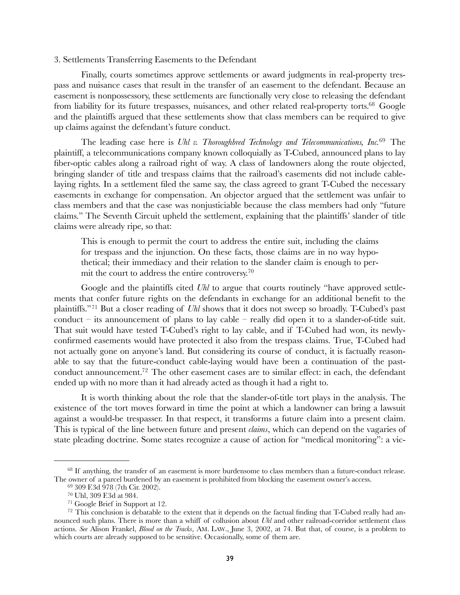### <span id="page-38-0"></span>3. Settlements Transferring Easements to the Defendant

Finally, courts sometimes approve settlements or award judgments in real-property trespass and nuisance cases that result in the transfer of an easement to the defendant. Because an easement is nonpossessory, these settlements are functionally very close to releasing the defendant from liability for its future trespasses, nuisances, and other related real-property torts.<sup>68</sup> Google and the plaintiffs argued that these settlements show that class members can be required to give up claims against the defendant's future conduct.

The leading case here is *Uhl v. Thoroughbred Technology and Telecommunications, Inc.*[69](#page-38-2) The plaintiff, a telecommunications company known colloquially as T-Cubed, announced plans to lay fiber-optic cables along a railroad right of way. A class of landowners along the route objected, bringing slander of title and trespass claims that the railroad's easements did not include cablelaying rights. In a settlement filed the same say, the class agreed to grant T-Cubed the necessary easements in exchange for compensation. An objector argued that the settlement was unfair to class members and that the case was nonjusticiable because the class members had only "future claims." The Seventh Circuit upheld the settlement, explaining that the plaintiffs' slander of title claims were already ripe, so that:

This is enough to permit the court to address the entire suit, including the claims for trespass and the injunction. On these facts, those claims are in no way hypothetical; their immediacy and their relation to the slander claim is enough to permit the court to address the entire controversy.<sup>70</sup>

Google and the plaintiffs cited *Uhl* to argue that courts routinely "have approved settlements that confer future rights on the defendants in exchange for an additional benefit to the plaintiffs."[71](#page-38-4) But a closer reading of *Uhl* shows that it does not sweep so broadly. T-Cubed's past conduct – its announcement of plans to lay cable – really did open it to a slander-of-title suit. That suit would have tested T-Cubed's right to lay cable, and if T-Cubed had won, its newlyconfirmed easements would have protected it also from the trespass claims. True, T-Cubed had not actually gone on anyone's land. But considering its course of conduct, it is factually reasonable to say that the future-conduct cable-laying would have been a continuation of the pastconduct announcement[.72](#page-38-5) The other easement cases are to similar effect: in each, the defendant ended up with no more than it had already acted as though it had a right to.

It is worth thinking about the role that the slander-of-title tort plays in the analysis. The existence of the tort moves forward in time the point at which a landowner can bring a lawsuit against a would-be trespasser. In that respect, it transforms a future claim into a present claim. This is typical of the line between future and present *claims*, which can depend on the vagaries of state pleading doctrine. Some states recognize a cause of action for "medical monitoring": a vic-

<span id="page-38-1"></span><sup>&</sup>lt;sup>68</sup> If anything, the transfer of an easement is more burdensome to class members than a future-conduct release. The owner of a parcel burdened by an easement is prohibited from blocking the easement owner's access.

<span id="page-38-2"></span><sup>69 309</sup> F.3d 978 (7th Cir. 2002).

<span id="page-38-3"></span><sup>70</sup> Uhl, 309 F.3d at 984.

<span id="page-38-5"></span><span id="page-38-4"></span><sup>71</sup> Google Brief in Support at 12.

 $72$  This conclusion is debatable to the extent that it depends on the factual finding that T-Cubed really had announced such plans. There is more than a whiff of collusion about *Uhl* and other railroad-corridor settlement class actions. *See* Alison Frankel, *Blood on the Tracks*, AM. LAW., June 3, 2002, at 74. But that, of course, is a problem to which courts are already supposed to be sensitive. Occasionally, some of them are.